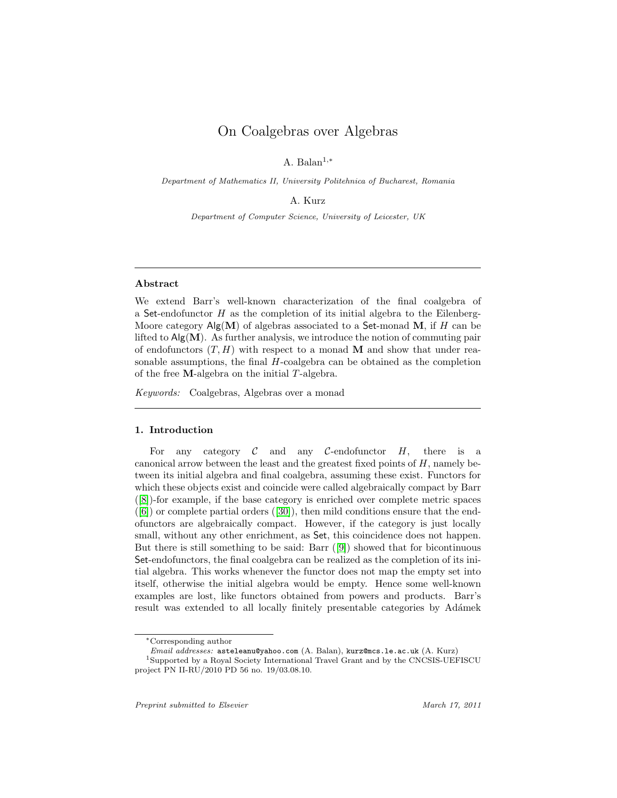# On Coalgebras over Algebras

A. Balan $1,*$ 

<span id="page-0-0"></span>Department of Mathematics II, University Politehnica of Bucharest, Romania

A. Kurz

Department of Computer Science, University of Leicester, UK

# Abstract

We extend Barr's well-known characterization of the final coalgebra of a Set-endofunctor H as the completion of its initial algebra to the Eilenberg-Moore category  $\mathsf{Alg}(\mathbf{M})$  of algebras associated to a Set-monad M, if H can be lifted to  $\text{Alg}(\mathbf{M})$ . As further analysis, we introduce the notion of commuting pair of endofunctors  $(T, H)$  with respect to a monad M and show that under reasonable assumptions, the final H-coalgebra can be obtained as the completion of the free M-algebra on the initial T-algebra.

Keywords: Coalgebras, Algebras over a monad

## 1. Introduction

For any category  $C$  and any  $C$ -endofunctor  $H$ , there is a canonical arrow between the least and the greatest fixed points of  $H$ , namely between its initial algebra and final coalgebra, assuming these exist. Functors for which these objects exist and coincide were called algebraically compact by Barr ([\[8\]](#page-23-0))-for example, if the base category is enriched over complete metric spaces  $([6])$  $([6])$  $([6])$  or complete partial orders  $([30])$  $([30])$  $([30])$ , then mild conditions ensure that the endofunctors are algebraically compact. However, if the category is just locally small, without any other enrichment, as Set, this coincidence does not happen. But there is still something to be said: Barr ([\[9\]](#page-23-2)) showed that for bicontinuous Set-endofunctors, the final coalgebra can be realized as the completion of its initial algebra. This works whenever the functor does not map the empty set into itself, otherwise the initial algebra would be empty. Hence some well-known examples are lost, like functors obtained from powers and products. Barr's result was extended to all locally finitely presentable categories by Adámek

<sup>∗</sup>Corresponding author

Email addresses: asteleanu@yahoo.com (A. Balan), kurz@mcs.le.ac.uk (A. Kurz)

<sup>1</sup>Supported by a Royal Society International Travel Grant and by the CNCSIS-UEFISCU project PN II-RU/2010 PD 56 no. 19/03.08.10.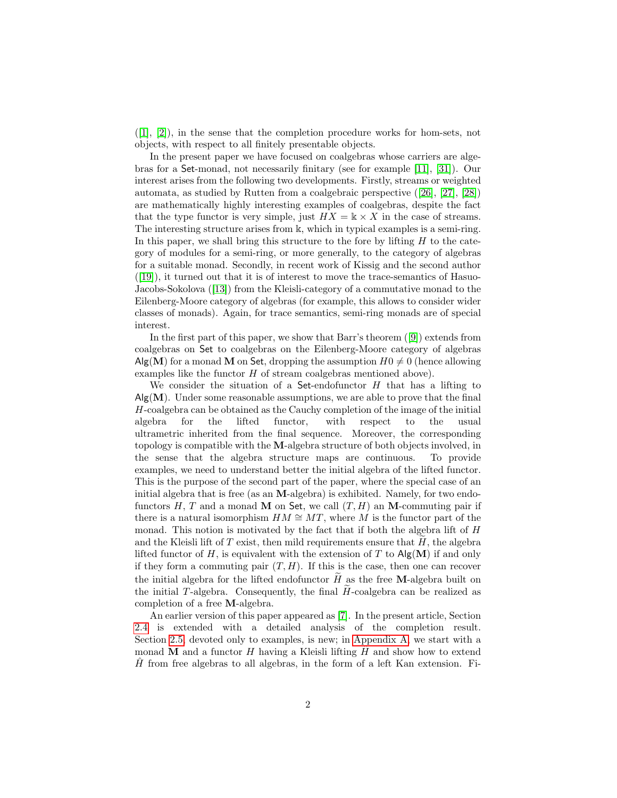$([1], [2])$  $([1], [2])$  $([1], [2])$  $([1], [2])$  $([1], [2])$ , in the sense that the completion procedure works for hom-sets, not objects, with respect to all finitely presentable objects.

In the present paper we have focused on coalgebras whose carriers are algebras for a Set-monad, not necessarily finitary (see for example [\[11\]](#page-23-3), [\[31\]](#page-24-1)). Our interest arises from the following two developments. Firstly, streams or weighted automata, as studied by Rutten from a coalgebraic perspective ([\[26\]](#page-24-2), [\[27\]](#page-24-3), [\[28\]](#page-24-4)) are mathematically highly interesting examples of coalgebras, despite the fact that the type functor is very simple, just  $HX = \mathbb{k} \times X$  in the case of streams. The interesting structure arises from k, which in typical examples is a semi-ring. In this paper, we shall bring this structure to the fore by lifting  $H$  to the category of modules for a semi-ring, or more generally, to the category of algebras for a suitable monad. Secondly, in recent work of Kissig and the second author  $([19])$  $([19])$  $([19])$ , it turned out that it is of interest to move the trace-semantics of Hasuo-Jacobs-Sokolova ([\[13\]](#page-23-5)) from the Kleisli-category of a commutative monad to the Eilenberg-Moore category of algebras (for example, this allows to consider wider classes of monads). Again, for trace semantics, semi-ring monads are of special interest.

In the first part of this paper, we show that Barr's theorem ([\[9\]](#page-23-2)) extends from coalgebras on Set to coalgebras on the Eilenberg-Moore category of algebras  $\text{Alg}(\mathbf{M})$  for a monad M on Set, dropping the assumption  $H0 \neq 0$  (hence allowing examples like the functor H of stream coalgebras mentioned above).

We consider the situation of a Set-endofunctor  $H$  that has a lifting to  $\mathsf{Alg}(\mathbf{M})$ . Under some reasonable assumptions, we are able to prove that the final H-coalgebra can be obtained as the Cauchy completion of the image of the initial algebra for the lifted functor, with respect to the usual ultrametric inherited from the final sequence. Moreover, the corresponding topology is compatible with the M-algebra structure of both objects involved, in the sense that the algebra structure maps are continuous. To provide examples, we need to understand better the initial algebra of the lifted functor. This is the purpose of the second part of the paper, where the special case of an initial algebra that is free (as an M-algebra) is exhibited. Namely, for two endofunctors  $H, T$  and a monad M on Set, we call  $(T, H)$  an M-commuting pair if there is a natural isomorphism  $HM \cong MT$ , where M is the functor part of the monad. This notion is motivated by the fact that if both the algebra lift of  $H$ and the Kleisli lift of  $T$  exist, then mild requirements ensure that  $H$ , the algebra lifted functor of H, is equivalent with the extension of T to  $\text{Alg}(\mathbf{M})$  if and only if they form a commuting pair  $(T, H)$ . If this is the case, then one can recover the initial algebra for the lifted endofunctor  $\widetilde{H}$  as the free M-algebra built on the initial T-algebra. Consequently, the final  $H$ -coalgebra can be realized as completion of a free M-algebra.

An earlier version of this paper appeared as [\[7\]](#page-23-6). In the present article, Section [2.4](#page-7-0) is extended with a detailed analysis of the completion result. Section [2.5,](#page-11-0) devoted only to examples, is new; in [Appendix A,](#page-0-0) we start with a monad M and a functor H having a Kleisli lifting  $H$  and show how to extend  $H$  from free algebras to all algebras, in the form of a left Kan extension. Fi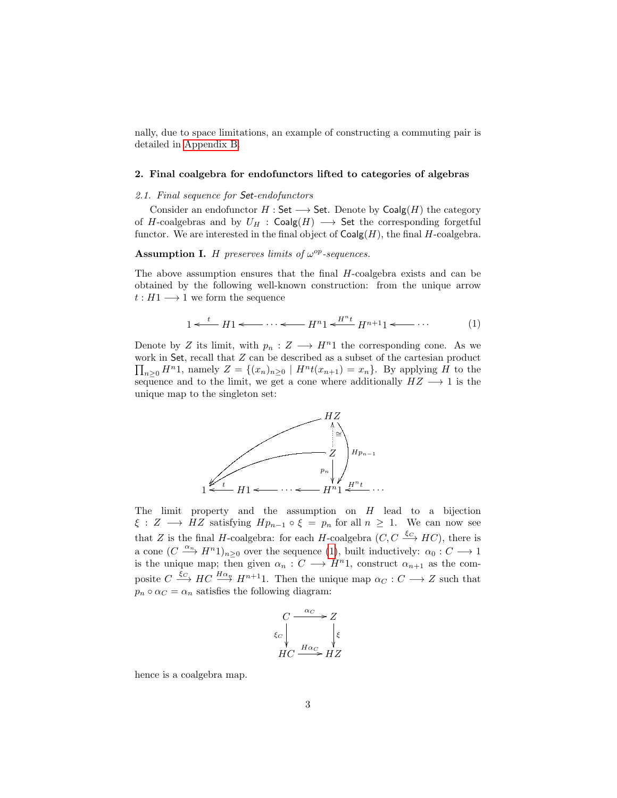nally, due to space limitations, an example of constructing a commuting pair is detailed in [Appendix B.](#page-0-0)

# 2. Final coalgebra for endofunctors lifted to categories of algebras

# <span id="page-2-2"></span>2.1. Final sequence for Set-endofunctors

Consider an endofunctor  $H : \mathsf{Set} \longrightarrow \mathsf{Set}$ . Denote by  $\mathsf{Coalg}(H)$  the category of H-coalgebras and by  $U_H$  : Coalg $(H) \longrightarrow$  Set the corresponding forgetful functor. We are interested in the final object of  $\text{Coalg}(H)$ , the final H-coalgebra.

# <span id="page-2-1"></span>Assumption I. H preserves limits of  $\omega^{op}$ -sequences.

The above assumption ensures that the final  $H$ -coalgebra exists and can be obtained by the following well-known construction: from the unique arrow  $t: H1 \longrightarrow 1$  we form the sequence

<span id="page-2-0"></span>
$$
1 \xleftarrow{t} H1 \xleftarrow{\cdots} \xleftarrow{\cdots} H^{n}1 \xleftarrow{H^{n}t} H^{n+1}1 \xleftarrow{\cdots} \cdots \tag{1}
$$

Denote by Z its limit, with  $p_n: Z \longrightarrow H^n1$  the corresponding cone. As we work in Set, recall that Z can be described as a subset of the cartesian product  $\prod_{n\geq 0} H^n$ 1, namely  $Z = \{(x_n)_{n\geq 0} \mid H^n t(x_{n+1}) = x_n\}$ . By applying H to the sequence and to the limit, we get a cone where additionally  $HZ \longrightarrow 1$  is the unique map to the singleton set:



The limit property and the assumption on  $H$  lead to a bijection  $\xi : Z \longrightarrow HZ$  satisfying  $Hp_{n-1} \circ \xi = p_n$  for all  $n \geq 1$ . We can now see that Z is the final H-coalgebra: for each H-coalgebra  $(C, C \xrightarrow{\xi_C} HC)$ , there is a cone  $(C \xrightarrow{\alpha_n} H^n 1)_{n \geq 0}$  over the sequence [\(1\)](#page-2-0), built inductively:  $\alpha_0: C \longrightarrow 1$ is the unique map; then given  $\alpha_n : C \longrightarrow H^n$ , construct  $\alpha_{n+1}$  as the composite  $C \stackrel{\xi_C}{\longrightarrow} HC \stackrel{H\alpha_n}{\longrightarrow} H^{n+1}1$ . Then the unique map  $\alpha_C : C \longrightarrow Z$  such that  $p_n \circ \alpha_C = \alpha_n$  satisfies the following diagram:

$$
\begin{array}{ccc}\nC & \xrightarrow{\alpha_C} & Z \\
\epsilon_C & & \downarrow \epsilon \\
HC & \xrightarrow{H\alpha_C} & HZ\n\end{array}
$$

hence is a coalgebra map.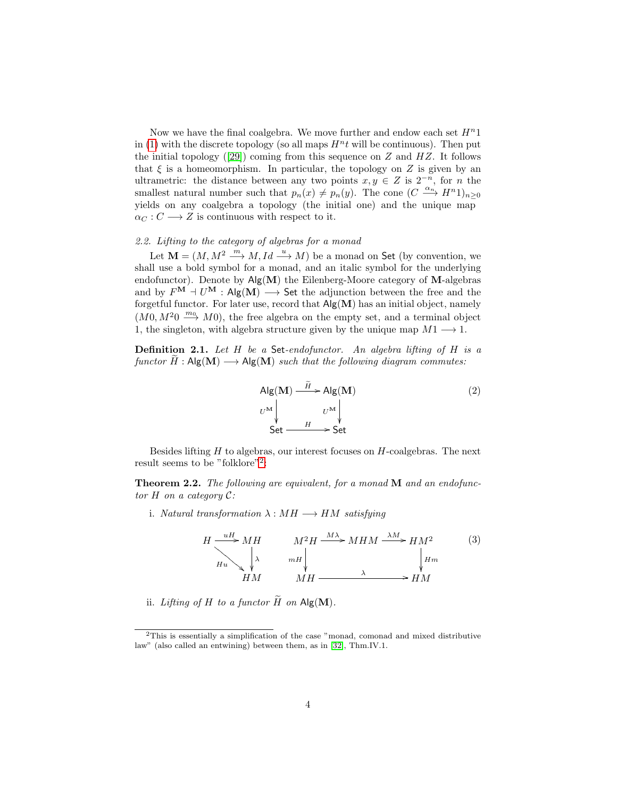Now we have the final coalgebra. We move further and endow each set  $H<sup>n</sup>1$ in [\(1\)](#page-2-0) with the discrete topology (so all maps  $H<sup>n</sup>t$  will be continuous). Then put the initial topology  $(29)$  coming from this sequence on Z and HZ. It follows that  $\xi$  is a homeomorphism. In particular, the topology on Z is given by an ultrametric: the distance between any two points  $x, y \in Z$  is  $2^{-n}$ , for n the smallest natural number such that  $p_n(x) \neq p_n(y)$ . The cone  $(C \stackrel{\alpha_n}{\longrightarrow} H^n 1)_{n \geq 0}$ yields on any coalgebra a topology (the initial one) and the unique map  $\alpha_C : C \longrightarrow Z$  is continuous with respect to it.

## 2.2. Lifting to the category of algebras for a monad

Let  $\mathbf{M} = (M, M^2 \xrightarrow{m} M, Id \xrightarrow{u} M)$  be a monad on Set (by convention, we shall use a bold symbol for a monad, and an italic symbol for the underlying endofunctor). Denote by  $\mathsf{Alg}(\mathbf{M})$  the Eilenberg-Moore category of M-algebras and by  $F^{\mathbf{M}} \dashv U^{\mathbf{M}}$  : Alg(M)  $\longrightarrow$  Set the adjunction between the free and the forgetful functor. For later use, record that  $\mathsf{Alg}(\mathbf{M})$  has an initial object, namely  $(M0, M^20 \longrightarrow M0)$ , the free algebra on the empty set, and a terminal object 1, the singleton, with algebra structure given by the unique map  $M1 \longrightarrow 1$ .

**Definition 2.1.** Let  $H$  be a Set-endofunctor. An algebra lifting of  $H$  is a functor  $H : Alg(M) \longrightarrow Alg(M)$  such that the following diagram commutes:

$$
\begin{array}{ccc}\n\text{Alg}(\mathbf{M}) & \xrightarrow{\widetilde{H}} & \text{Alg}(\mathbf{M}) \\
U^{\mathbf{M}} & & U^{\mathbf{M}} \\
\downarrow & & \downarrow \\
\text{Set} & \xrightarrow{H} & \text{Set}\n\end{array} \tag{2}
$$

Besides lifting  $H$  to algebras, our interest focuses on  $H$ -coalgebras. The next result seems to be "folklore"<sup>[2](#page-3-0)</sup>:

**Theorem 2.2.** The following are equivalent, for a monad  $\bf{M}$  and an endofunctor  $H$  on a category  $\mathcal{C}$ :

i. Natural transformation  $\lambda : MH \longrightarrow HM$  satisfying

<span id="page-3-1"></span>H uH / Hu " E E E E E E E <sup>E</sup> MH λ HM M<sup>2</sup>H Mλ / mH MHM λM /HM<sup>2</sup> Hm MH <sup>λ</sup> /HM (3)

ii. Lifting of H to a functor  $\widetilde{H}$  on Alg(M).

<span id="page-3-0"></span><sup>2</sup>This is essentially a simplification of the case "monad, comonad and mixed distributive law" (also called an entwining) between them, as in [\[32\]](#page-24-6), Thm.IV.1.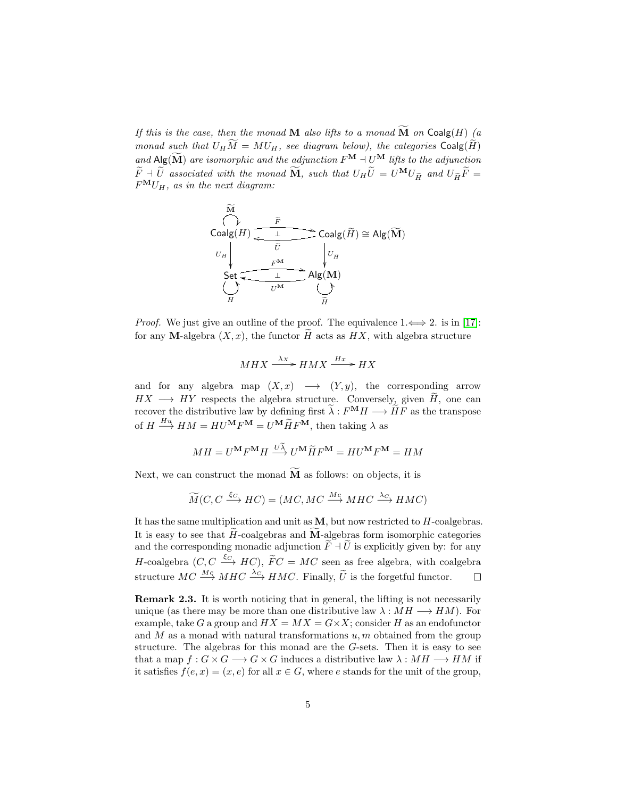If this is the case, then the monad M also lifts to a monad  $\widetilde{M}$  on Coalg(H) (a monad such that  $U_H\widetilde{M} = MU_H$ , see diagram below), the categories Coalg $(\widetilde{H})$ and  $\mathsf{Alg}(\widetilde{M})$  are isomorphic and the adjunction  $F^{\mathbf{M}} \dashv U^{\mathbf{M}}$  lifts to the adjunction  $\widetilde{F}+\widetilde{U}$  associated with the monad  $\widetilde{M}$ , such that  $U_H\widetilde{U}=U^{\bf M}U_{\widetilde{H}}$  and  $U_{\widetilde{H}}\widetilde{F}=$  $F^{\mathbf{M}}U_{H}$ , as in the next diagram:

$$
\begin{array}{c}\n\widetilde{M} \\
\bigcap_{U_H} \downarrow \qquad \qquad \widetilde{F} \\
\text{Coalg}(H) \downarrow \qquad \qquad \widetilde{U} \\
\downarrow \qquad \qquad \widetilde{U} \\
\text{Set} \downarrow \qquad \qquad \text{Alg}(M) \\
\bigcup_{H} \qquad \qquad \downarrow \qquad \qquad \text{Alg}(M) \\
\bigcup_{H} \qquad \qquad \bigcup_{\widetilde{H}} \qquad \qquad \bigcup_{\widetilde{H}} \qquad \qquad \downarrow \qquad \qquad \widetilde{H}\n\end{array}
$$

*Proof.* We just give an outline of the proof. The equivalence  $1 \Leftrightarrow 2$ . is in [\[17\]](#page-23-7): for any M-algebra  $(X, x)$ , the functor  $\tilde{H}$  acts as  $HX$ , with algebra structure

$$
MHX \xrightarrow{\lambda_X} HMX \xrightarrow{Hx} HX
$$

and for any algebra map  $(X, x) \longrightarrow (Y, y)$ , the corresponding arrow  $HX \longrightarrow HY$  respects the algebra structure. Conversely, given  $H$ , one can recover the distributive law by defining first  $\tilde{\lambda}: F^{\bf M}H \longrightarrow \tilde{H}F$  as the transpose of  $H \stackrel{Hu}{\longrightarrow} HM = HU^{\mathbf{M}}F^{\mathbf{M}} = U^{\mathbf{M}}\widetilde{H}F^{\mathbf{M}},$  then taking  $\lambda$  as

$$
MH = U^{\mathbf{M}}F^{\mathbf{M}}H \xrightarrow{U\lambda} U^{\mathbf{M}}\widetilde{H}F^{\mathbf{M}} = HU^{\mathbf{M}}F^{\mathbf{M}} = HM
$$

Next, we can construct the monad  $\tilde{M}$  as follows: on objects, it is

$$
\widetilde{M}(C, C \xrightarrow{\xi_C} HC) = (MC, MC \xrightarrow{Mc} MHC \xrightarrow{\lambda_C} HMC)
$$

It has the same multiplication and unit as M, but now restricted to H-coalgebras. It is easy to see that  $H$ -coalgebras and M-algebras form isomorphic categories and the corresponding monadic adjunction  $\ddot{F} + \ddot{U}$  is explicitly given by: for any H-coalgebra  $(C, C \xrightarrow{\xi_C} HC)$ ,  $\widetilde{F}C = MC$  seen as free algebra, with coalgebra structure  $MC \stackrel{Mc}{\longrightarrow} MHC \stackrel{\lambda_C}{\longrightarrow} HMC$ . Finally,  $\tilde{U}$  is the forgetful functor.  $\Box$ 

Remark 2.3. It is worth noticing that in general, the lifting is not necessarily unique (as there may be more than one distributive law  $\lambda : MH\longrightarrow HM$ ). For example, take G a group and  $HX = MX = G\times X$ ; consider H as an endofunctor and M as a monad with natural transformations  $u, m$  obtained from the group structure. The algebras for this monad are the G-sets. Then it is easy to see that a map  $f: G \times G \longrightarrow G \times G$  induces a distributive law  $\lambda: MH \longrightarrow HM$  if it satisfies  $f(e, x) = (x, e)$  for all  $x \in G$ , where e stands for the unit of the group,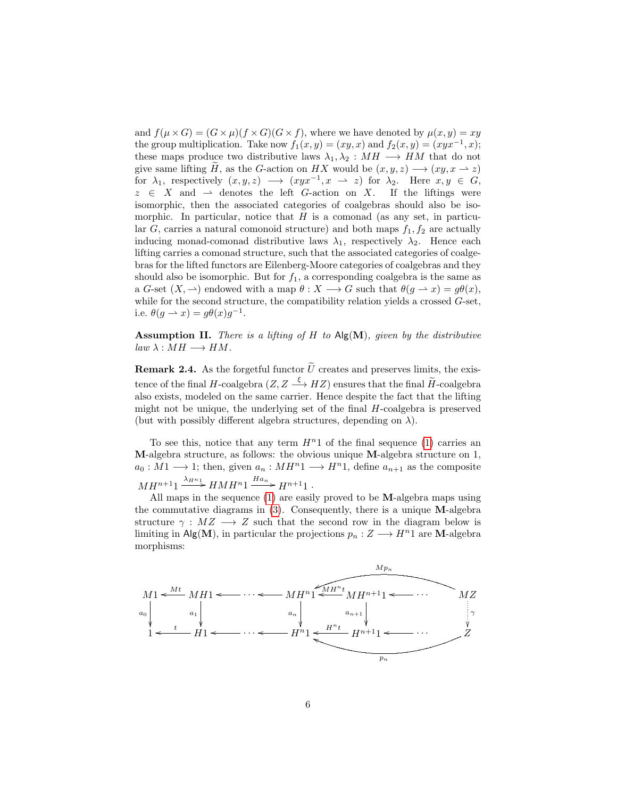and  $f(\mu \times G) = (G \times \mu)(f \times G)(G \times f)$ , where we have denoted by  $\mu(x, y) = xy$ the group multiplication. Take now  $f_1(x, y) = (xy, x)$  and  $f_2(x, y) = (xyx^{-1}, x)$ ; these maps produce two distributive laws  $\lambda_1, \lambda_2 : MH \longrightarrow HM$  that do not give same lifting H, as the G-action on HX would be  $(x, y, z) \rightarrow (xy, x \rightarrow z)$ for  $\lambda_1$ , respectively  $(x, y, z) \rightarrow (xyx^{-1}, x \rightarrow z)$  for  $\lambda_2$ . Here  $x, y \in G$ ,  $z \in X$  and  $\rightarrow$  denotes the left G-action on X. If the liftings were isomorphic, then the associated categories of coalgebras should also be isomorphic. In particular, notice that  $H$  is a comonad (as any set, in particular G, carries a natural comonoid structure) and both maps  $f_1, f_2$  are actually inducing monad-comonad distributive laws  $\lambda_1$ , respectively  $\lambda_2$ . Hence each lifting carries a comonad structure, such that the associated categories of coalgebras for the lifted functors are Eilenberg-Moore categories of coalgebras and they should also be isomorphic. But for  $f_1$ , a corresponding coalgebra is the same as a G-set  $(X, \rightharpoonup)$  endowed with a map  $\theta : X \longrightarrow G$  such that  $\theta(q \rightharpoonup x) = q\theta(x)$ , while for the second structure, the compatibility relation yields a crossed  $G$ -set, i.e.  $\theta(g \to x) = g\theta(x)g^{-1}$ .

Assumption II. There is a lifting of  $H$  to  $\mathsf{Alg}(\mathbf{M})$ , given by the distributive  $law \lambda : MH \longrightarrow HM.$ 

<span id="page-5-0"></span>**Remark 2.4.** As the forgetful functor  $\tilde{U}$  creates and preserves limits, the existence of the final H-coalgebra  $(Z, Z \xrightarrow{\xi} HZ)$  ensures that the final  $\widetilde{H}$ -coalgebra also exists, modeled on the same carrier. Hence despite the fact that the lifting might not be unique, the underlying set of the final  $H$ -coalgebra is preserved (but with possibly different algebra structures, depending on  $\lambda$ ).

To see this, notice that any term  $H<sup>n</sup>1$  of the final sequence [\(1\)](#page-2-0) carries an M-algebra structure, as follows: the obvious unique M-algebra structure on 1,  $a_0: M1 \longrightarrow 1$ ; then, given  $a_n: M H^n1 \longrightarrow H^n1$ , define  $a_{n+1}$  as the composite  $MH^{n+1}1 \xrightarrow{\lambda_{H^{n_1}}} HMH^{n_1} \xrightarrow{Ha_n} H^{n+1}1$ .

All maps in the sequence  $(1)$  are easily proved to be **M**-algebra maps using the commutative diagrams in [\(3\)](#page-3-1). Consequently, there is a unique M-algebra structure  $\gamma : MZ \longrightarrow Z$  such that the second row in the diagram below is limiting in Alg(M), in particular the projections  $p_n : Z \longrightarrow H^{n}1$  are M-algebra morphisms:

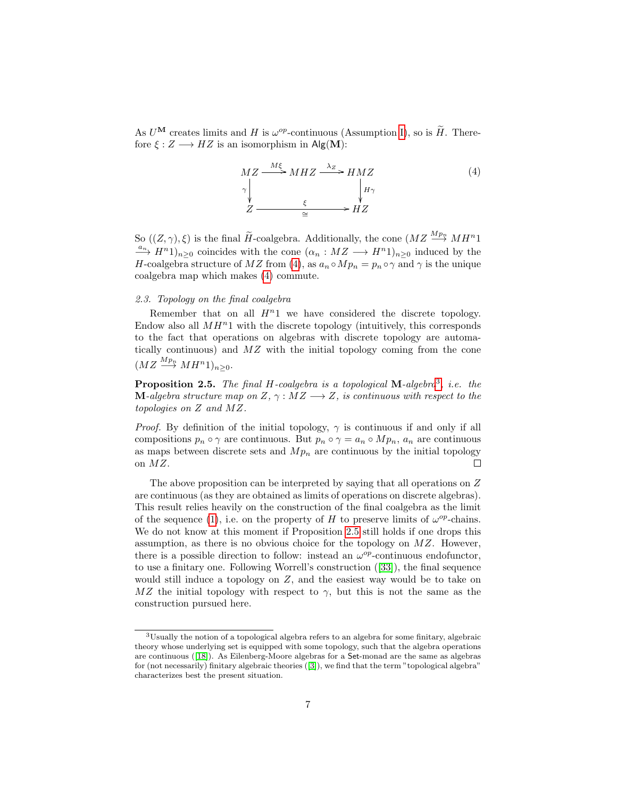As  $U^{\mathbf{M}}$  creates limits and H is  $\omega^{op}$ -continuous (Assumption [I\)](#page-2-1), so is  $\widetilde{H}$ . Therefore  $\xi : Z \longrightarrow HZ$  is an isomorphism in Alg(M):

<span id="page-6-0"></span>
$$
MZ \xrightarrow{M\xi} MHZ \xrightarrow{\lambda_Z} HMZ
$$
  
\n
$$
\gamma \downarrow \qquad \qquad \downarrow H\gamma
$$
  
\n
$$
Z \xrightarrow{\xi} HZ
$$
  
\n(4)

So  $((Z, \gamma), \xi)$  is the final  $\widetilde{H}$ -coalgebra. Additionally, the cone  $(MZ \stackrel{Mp_n}{\longrightarrow} MH^n1)$  $\xrightarrow{a_n} H^{n_1}$ <sub>n</sub>><sub>0</sub> coincides with the cone  $(\alpha_n : MZ \longrightarrow H^{n_1})_{n\geq 0}$  induced by the H-coalgebra structure of MZ from [\(4\)](#page-6-0), as  $a_n \circ Mp_n = p_n \circ \gamma$  and  $\gamma$  is the unique coalgebra map which makes [\(4\)](#page-6-0) commute.

### 2.3. Topology on the final coalgebra

Remember that on all  $H^{n_1}$  we have considered the discrete topology. Endow also all  $MH<sup>n</sup>1$  with the discrete topology (intuitively, this corresponds to the fact that operations on algebras with discrete topology are automatically continuous) and MZ with the initial topology coming from the cone  $(MZ \stackrel{Mp_n}{\longrightarrow} MH^n1)_{n\geq 0}.$ 

<span id="page-6-2"></span>**Proposition 2.5.** The final H-coalgebra is a topological  $M$ -algebra<sup>[3](#page-6-1)</sup>, i.e. the **M**-algebra structure map on Z,  $\gamma : MZ \longrightarrow Z$ , is continuous with respect to the topologies on Z and MZ.

*Proof.* By definition of the initial topology,  $\gamma$  is continuous if and only if all compositions  $p_n \circ \gamma$  are continuous. But  $p_n \circ \gamma = a_n \circ Mp_n$ ,  $a_n$  are continuous as maps between discrete sets and  $Mp_n$  are continuous by the initial topology on MZ.  $\Box$ 

The above proposition can be interpreted by saying that all operations on Z are continuous (as they are obtained as limits of operations on discrete algebras). This result relies heavily on the construction of the final coalgebra as the limit of the sequence [\(1\)](#page-2-0), i.e. on the property of H to preserve limits of  $\omega^{op}$ -chains. We do not know at this moment if Proposition [2.5](#page-6-2) still holds if one drops this assumption, as there is no obvious choice for the topology on MZ. However, there is a possible direction to follow: instead an  $\omega^{op}$ -continuous endofunctor, to use a finitary one. Following Worrell's construction ([\[33\]](#page-24-7)), the final sequence would still induce a topology on Z, and the easiest way would be to take on MZ the initial topology with respect to  $\gamma$ , but this is not the same as the construction pursued here.

<span id="page-6-1"></span> $3$ Usually the notion of a topological algebra refers to an algebra for some finitary, algebraic theory whose underlying set is equipped with some topology, such that the algebra operations are continuous ([\[18\]](#page-23-8)). As Eilenberg-Moore algebras for a Set-monad are the same as algebras for (not necessarily) finitary algebraic theories ([\[3\]](#page-22-2)), we find that the term "topological algebra" characterizes best the present situation.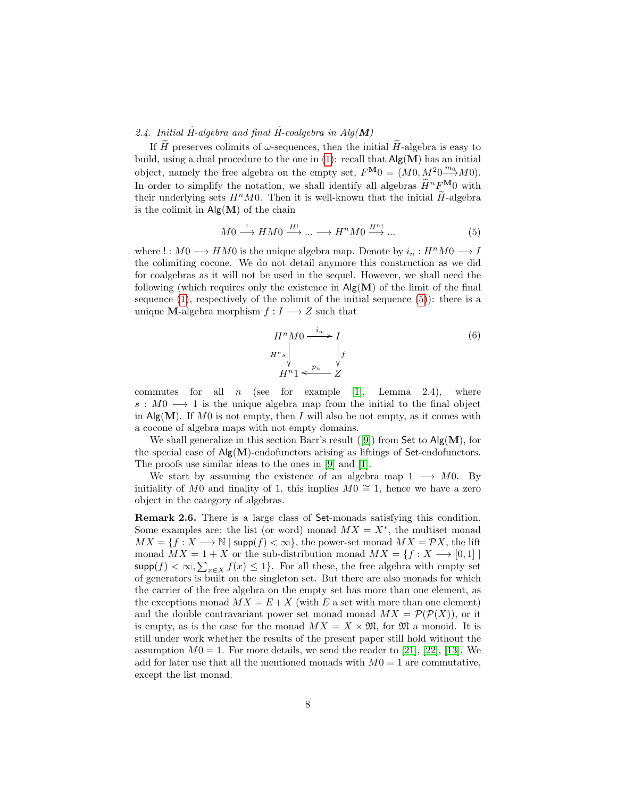# <span id="page-7-0"></span>2.4. Initial  $\tilde{H}$ -algebra and final  $\tilde{H}$ -coalgebra in Alg(M)

If  $\widetilde{H}$  preserves colimits of  $\omega$ -sequences, then the initial  $\widetilde{H}$ -algebra is easy to build, using a dual procedure to the one in [\(1\)](#page-2-0): recall that  $\text{Alg}(\mathbf{M})$  has an initial object, namely the free algebra on the empty set,  $F^{M}0 = (M0, M^{2}0 \frac{m_{0}}{2} M0)$ . In order to simplify the notation, we shall identify all algebras  $\widetilde{H}^n F^{\mathbf{M}}0$  with their underlying sets  $H^nM0$ . Then it is well-known that the initial  $\widetilde{H}$ -algebra is the colimit in  $\mathsf{Alg}(\mathbf{M})$  of the chain

<span id="page-7-1"></span>
$$
M0 \xrightarrow{\cdot} HM0 \xrightarrow{H!} \dots \longrightarrow H^n M0 \xrightarrow{H^n!} \dots \tag{5}
$$

where  $! : M0 \longrightarrow HM0$  is the unique algebra map. Denote by  $i_n : H^nM0 \longrightarrow I$ the colimiting cocone. We do not detail anymore this construction as we did for coalgebras as it will not be used in the sequel. However, we shall need the following (which requires only the existence in  $\mathsf{Alg}(\mathbf{M})$  of the limit of the final sequence  $(1)$ , respectively of the colimit of the initial sequence  $(5)$ : there is a unique M-algebra morphism  $f: I \longrightarrow Z$  such that

<span id="page-7-2"></span>
$$
H^n M 0 \xrightarrow{i_n} I
$$
  
\n
$$
H^n s \downarrow f
$$
  
\n
$$
H^n 1 \xleftarrow{p_n} Z
$$
  
\n(6)

commutes for all  $n$  (see for example [\[1\]](#page-22-0), Lemma 2.4), where  $s: M0 \longrightarrow 1$  is the unique algebra map from the initial to the final object in  $\text{Alg}(\mathbf{M})$ . If M0 is not empty, then I will also be not empty, as it comes with a cocone of algebra maps with not empty domains.

We shall generalize in this section Barr's result  $([9])$  $([9])$  $([9])$  from Set to Alg(M), for the special case of  $\mathsf{Alg}(\mathbf{M})$ -endofunctors arising as liftings of Set-endofunctors. The proofs use similar ideas to the ones in [\[9\]](#page-23-2) and [\[1\]](#page-22-0).

We start by assuming the existence of an algebra map  $1 \longrightarrow M0$ . By initiality of M0 and finality of 1, this implies  $M0 \cong 1$ , hence we have a zero object in the category of algebras.

Remark 2.6. There is a large class of Set-monads satisfying this condition. Some examples are: the list (or word) monad  $MX = X^*$ , the multiset monad  $MX = \{f : X \longrightarrow \mathbb{N} \mid \text{supp}(f) < \infty\},\$  the power-set monad  $MX = \mathcal{P}X$ , the lift monad  $MX = 1 + X$  or the sub-distribution monad  $MX = \{f : X \longrightarrow [0, 1] \mid$  $\supp(f) < \infty, \sum_{x \in X} f(x) \leq 1$ . For all these, the free algebra with empty set of generators is built on the singleton set. But there are also monads for which the carrier of the free algebra on the empty set has more than one element, as the exceptions monad  $MX = E + X$  (with E a set with more than one element) and the double contravariant power set monad monad  $MX = \mathcal{P}(\mathcal{P}(X))$ , or it is empty, as is the case for the monad  $MX = X \times \mathfrak{M}$ , for  $\mathfrak{M}$  a monoid. It is still under work whether the results of the present paper still hold without the assumption  $M0 = 1$ . For more details, we send the reader to [\[21\]](#page-24-8), [\[22\]](#page-24-9), [\[13\]](#page-23-5). We add for later use that all the mentioned monads with  $M0 = 1$  are commutative, except the list monad.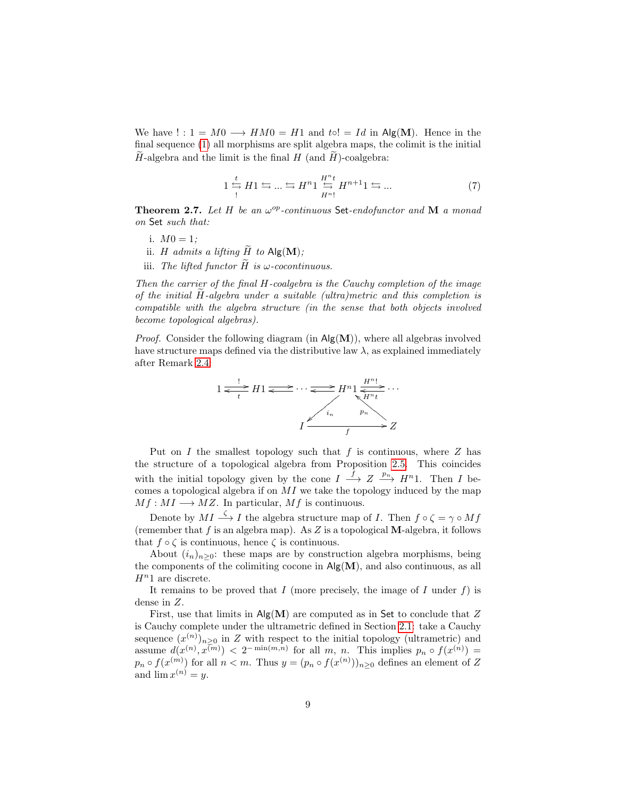We have  $! : 1 = M0 \longrightarrow HM0 = H1$  and  $t \circ! = Id$  in Alg(M). Hence in the final sequence [\(1\)](#page-2-0) all morphisms are split algebra maps, the colimit is the initial H-algebra and the limit is the final  $H$  (and  $H$ )-coalgebra:

<span id="page-8-3"></span>
$$
1 \stackrel{t}{\underset{!}{\hookrightarrow}} H1 \stackrel{!}{\hookrightarrow} \dots \stackrel{!}{\hookrightarrow} H^{n}1 \stackrel{H^{n}t}{\underset{H^{n}!}{\hookrightarrow}} H^{n+1}1 \stackrel{!}{\hookrightarrow} \dots
$$
 (7)

<span id="page-8-0"></span>**Theorem 2.7.** Let H be an  $\omega^{op}$ -continuous Set-endofunctor and M a monad on Set such that:

- <span id="page-8-1"></span>i.  $M0 = 1$ ;
- <span id="page-8-2"></span>ii. H admits a lifting  $\widetilde{H}$  to Alg(M);
- iii. The lifted functor  $\widetilde{H}$  is  $\omega$ -cocontinuous.

Then the carrier of the final H-coalgebra is the Cauchy completion of the image of the initial  $H$ -algebra under a suitable (ultra)metric and this completion is compatible with the algebra structure (in the sense that both objects involved become topological algebras).

*Proof.* Consider the following diagram (in  $\mathsf{Alg}(\mathbf{M})$ ), where all algebras involved have structure maps defined via the distributive law  $\lambda$ , as explained immediately after Remark [2.4:](#page-5-0)



Put on I the smallest topology such that f is continuous, where  $Z$  has the structure of a topological algebra from Proposition [2.5.](#page-6-2) This coincides with the initial topology given by the cone  $I \xrightarrow{f} Z \xrightarrow{p_n} H^{n}1$ . Then I becomes a topological algebra if on  $MI$  we take the topology induced by the map  $Mf:MI\longrightarrow MZ$ . In particular, Mf is continuous.

Denote by  $MI \stackrel{\zeta}{\longrightarrow} I$  the algebra structure map of *I*. Then  $f \circ \zeta = \gamma \circ Mf$ (remember that  $f$  is an algebra map). As  $Z$  is a topological M-algebra, it follows that  $f \circ \zeta$  is continuous, hence  $\zeta$  is continuous.

About  $(i_n)_{n>0}$ : these maps are by construction algebra morphisms, being the components of the colimiting cocone in  $\text{Alg}(\mathbf{M})$ , and also continuous, as all  $H<sup>n</sup>1$  are discrete.

It remains to be proved that I (more precisely, the image of I under f) is dense in Z.

First, use that limits in  $\text{Alg}(\mathbf{M})$  are computed as in Set to conclude that Z is Cauchy complete under the ultrametric defined in Section [2.1:](#page-2-2) take a Cauchy sequence  $(x^{(n)})_{n\geq 0}$  in Z with respect to the initial topology (ultrametric) and assume  $d(x^{(n)}, \overline{x^{(m)}}) < 2^{-\min(m,n)}$  for all m, n. This implies  $p_n \circ f(x^{(n)}) =$  $p_n \circ f(x^{(m)})$  for all  $n < m$ . Thus  $y = (p_n \circ f(x^{(n)}))_{n \geq 0}$  defines an element of Z and  $\lim x^{(n)} = y$ .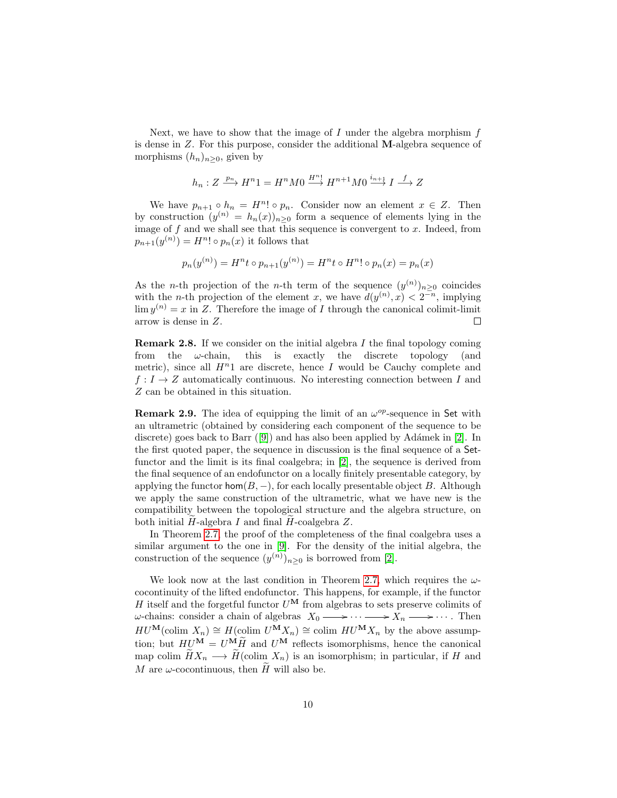Next, we have to show that the image of  $I$  under the algebra morphism  $f$ is dense in Z. For this purpose, consider the additional M-algebra sequence of morphisms  $(h_n)_{n\geq 0}$ , given by

$$
h_n:Z \xrightarrow{p_n} H^n1=H^nM0 \xrightarrow{H^n!} H^{n+1}M0 \xrightarrow{i_{n+1}} I \xrightarrow{f} Z
$$

We have  $p_{n+1} \circ h_n = H^n! \circ p_n$ . Consider now an element  $x \in Z$ . Then by construction  $(y^{(n)} = h_n(x))_{n \geq 0}$  form a sequence of elements lying in the image of  $f$  and we shall see that this sequence is convergent to  $x$ . Indeed, from  $p_{n+1}(y^{(n)}) = H^{n!} \circ p_n(x)$  it follows that

$$
p_n(y^{(n)}) = H^n t \circ p_{n+1}(y^{(n)}) = H^n t \circ H^n! \circ p_n(x) = p_n(x)
$$

As the *n*-th projection of the *n*-th term of the sequence  $(y^{(n)})_{n\geq 0}$  coincides with the *n*-th projection of the element x, we have  $d(y^{(n)},x) < 2^{-n}$ , implying  $\lim y^{(n)} = x$  in Z. Therefore the image of I through the canonical colimit-limit arrow is dense in Z.  $\Box$ 

**Remark 2.8.** If we consider on the initial algebra  $I$  the final topology coming from the  $\omega$ -chain, this is exactly the discrete topology (and metric), since all  $H<sup>n</sup>1$  are discrete, hence I would be Cauchy complete and  $f: I \to Z$  automatically continuous. No interesting connection between I and Z can be obtained in this situation.

Remark 2.9. The idea of equipping the limit of an  $\omega^{op}$ -sequence in Set with an ultrametric (obtained by considering each component of the sequence to be discrete) goes back to Barr  $([9])$  $([9])$  $([9])$  and has also been applied by Adámek in [\[2\]](#page-22-1). In the first quoted paper, the sequence in discussion is the final sequence of a Setfunctor and the limit is its final coalgebra; in [\[2\]](#page-22-1), the sequence is derived from the final sequence of an endofunctor on a locally finitely presentable category, by applying the functor  $\textsf{hom}(B, -)$ , for each locally presentable object B. Although we apply the same construction of the ultrametric, what we have new is the compatibility between the topological structure and the algebra structure, on both initial  $H$ -algebra  $I$  and final  $H$ -coalgebra  $Z$ .

In Theorem [2.7,](#page-8-0) the proof of the completeness of the final coalgebra uses a similar argument to the one in [\[9\]](#page-23-2). For the density of the initial algebra, the construction of the sequence  $(y^{(n)})_{n\geq 0}$  is borrowed from [\[2\]](#page-22-1).

We look now at the last condition in Theorem [2.7,](#page-8-0) which requires the  $\omega$ cocontinuity of the lifted endofunctor. This happens, for example, if the functor H itself and the forgetful functor  $U^{\mathbf{M}}$  from algebras to sets preserve colimits of  $\omega$ -chains: consider a chain of algebras  $X_0 \longrightarrow \cdots \longrightarrow X_n \longrightarrow \cdots$ . Then  $HU^{\mathbf{M}}(\text{colim } X_n) \cong H(\text{colim } U^{\mathbf{M}} X_n) \cong \text{colim } HU^{\mathbf{M}} X_n$  by the above assumption; but  $HU^{\mathbf{M}} = U^{\mathbf{M}}\widetilde{H}$  and  $U^{\mathbf{M}}$  reflects isomorphisms, hence the canonical map colim  $\widetilde{H}X_n \longrightarrow \widetilde{H}(\text{colim }X_n)$  is an isomorphism; in particular, if H and M are  $\omega$ -cocontinuous, then H will also be.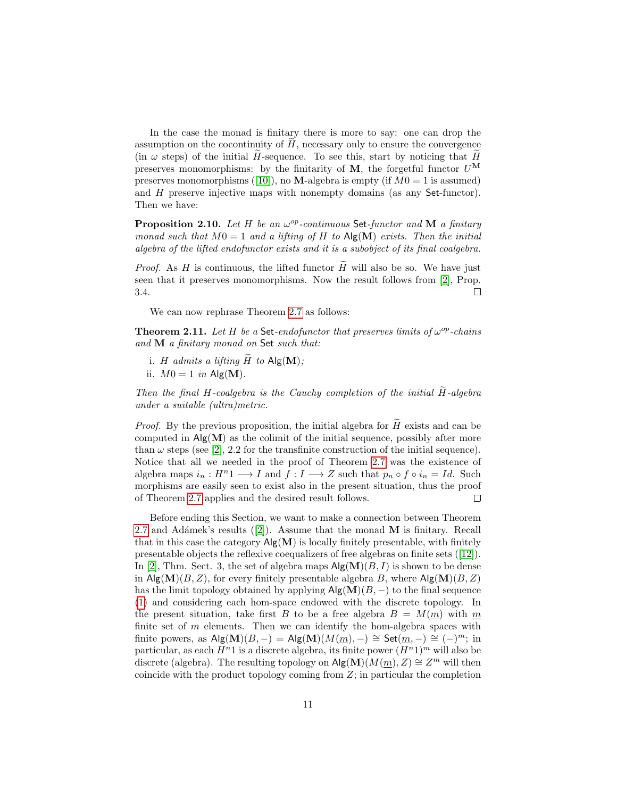In the case the monad is finitary there is more to say: one can drop the assumption on the cocontinuity of  $H$ , necessary only to ensure the convergence (in  $\omega$  steps) of the initial H-sequence. To see this, start by noticing that H preserves monomorphisms: by the finitarity of M, the forgetful functor  $U^{\mathbf{M}}$ preserves monomorphisms ([\[10\]](#page-23-9)), no M-algebra is empty (if  $M0 = 1$  is assumed) and H preserve injective maps with nonempty domains (as any Set-functor). Then we have:

**Proposition 2.10.** Let H be an  $\omega^{op}$ -continuous Set-functor and M a finitary monad such that  $M0 = 1$  and a lifting of H to  $\text{Alg}(\textbf{M})$  exists. Then the initial algebra of the lifted endofunctor exists and it is a subobject of its final coalgebra.

*Proof.* As H is continuous, the lifted functor  $\widetilde{H}$  will also be so. We have just seen that it preserves monomorphisms. Now the result follows from [\[2\]](#page-22-1), Prop. 3.4.  $\Box$ 

We can now rephrase Theorem [2.7](#page-8-0) as follows:

**Theorem 2.11.** Let H be a Set-endofunctor that preserves limits of  $\omega^{op}$ -chains and M a finitary monad on Set such that:

i. H admits a lifting  $\widetilde{H}$  to Alg(M); ii.  $M0 = 1$  in Alg(M).

Then the final H-coalgebra is the Cauchy completion of the initial  $\widetilde{H}$ -algebra under a suitable (ultra)metric.

*Proof.* By the previous proposition, the initial algebra for  $\widetilde{H}$  exists and can be computed in  $\mathsf{Alg}(\mathbf{M})$  as the colimit of the initial sequence, possibly after more than  $\omega$  steps (see [\[2\]](#page-22-1), 2.2 for the transfinite construction of the initial sequence). Notice that all we needed in the proof of Theorem [2.7](#page-8-0) was the existence of algebra maps  $i_n : H^n1 \longrightarrow I$  and  $f : I \longrightarrow Z$  such that  $p_n \circ f \circ i_n = Id$ . Such morphisms are easily seen to exist also in the present situation, thus the proof of Theorem [2.7](#page-8-0) applies and the desired result follows.  $\Box$ 

Before ending this Section, we want to make a connection between Theorem [2.7](#page-8-0) and Adámek's results  $([2])$  $([2])$  $([2])$ . Assume that the monad M is finitary. Recall that in this case the category  $\mathsf{Alg}(\mathbf{M})$  is locally finitely presentable, with finitely presentable objects the reflexive coequalizers of free algebras on finite sets ([\[12\]](#page-23-10)). In [\[2\]](#page-22-1), Thm. Sect. 3, the set of algebra maps  $\mathsf{Alg}(\mathbf{M})(B, I)$  is shown to be dense in  $\text{Alg}(\mathbf{M})(B, Z)$ , for every finitely presentable algebra B, where  $\text{Alg}(\mathbf{M})(B, Z)$ has the limit topology obtained by applying  $\mathsf{Alg}(\mathbf{M})(B,-)$  to the final sequence [\(1\)](#page-2-0) and considering each hom-space endowed with the discrete topology. In the present situation, take first B to be a free algebra  $B = M(m)$  with m finite set of  $m$  elements. Then we can identify the hom-algebra spaces with finite powers, as  $\mathsf{Alg}(\mathbf{M})(B,-) = \mathsf{Alg}(\mathbf{M})(M(\underline{m}),-) \cong \mathsf{Set}(\underline{m},-) \cong (-)^m$ ; in particular, as each  $H^n1$  is a discrete algebra, its finite power  $(H^n1)^m$  will also be discrete (algebra). The resulting topology on  $\mathsf{Alg}(\mathbf{M})(M(\underline{m}), Z) \cong Z^m$  will then coincide with the product topology coming from  $Z$ ; in particular the completion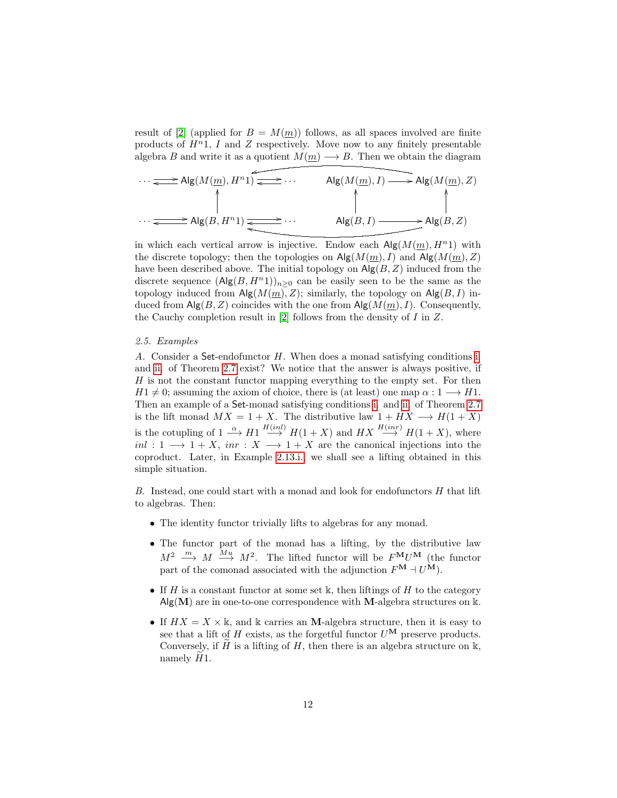result of [\[2\]](#page-22-1) (applied for  $B = M(m)$ ) follows, as all spaces involved are finite products of  $H<sup>n</sup>1$ , I and Z respectively. Move now to any finitely presentable algebra B and write it as a quotient  $M(\underline{m}) \longrightarrow B$ . Then we obtain the diagram

$$
\cdots \Longleftarrow \text{Alg}(M(\underline{m}), H^n1) \overbrace{\Longleftarrow \cdots} \qquad \text{Alg}(M(\underline{m}), I) \longrightarrow \text{Alg}(M(\underline{m}), Z)
$$
\n
$$
\cdots \overbrace{\Longleftarrow \text{Alg}(B, H^n1) \underbrace{\underbrace{\leftarrow}_{\text{Alg}(B, I) \longrightarrow \text{Alg}(B, Z)}} \qquad \qquad \text{Alg}(B, Z)
$$

in which each vertical arrow is injective. Endow each  $\mathsf{Alg}(M(m), H^n)$  with the discrete topology; then the topologies on  $\mathsf{Alg}(M(m), I)$  and  $\mathsf{Alg}(M(m), Z)$ have been described above. The initial topology on  $\mathsf{Alg}(B, Z)$  induced from the discrete sequence  $(\text{Alg}(B, H^n 1))_{n>0}$  can be easily seen to be the same as the topology induced from  $\mathsf{Alg}(M(\underline{m}), Z)$ ; similarly, the topology on  $\mathsf{Alg}(B, I)$  induced from  $\mathsf{Alg}(B, Z)$  coincides with the one from  $\mathsf{Alg}(M(m), I)$ . Consequently, the Cauchy completion result in [\[2\]](#page-22-1) follows from the density of I in Z.

#### <span id="page-11-0"></span>2.5. Examples

<span id="page-11-2"></span>A. Consider a Set-endofunctor H. When does a monad satisfying conditions [i.](#page-8-1) and [ii.](#page-8-2) of Theorem [2.7](#page-8-0) exist? We notice that the answer is always positive, if  $H$  is not the constant functor mapping everything to the empty set. For then  $H1 \neq 0$ ; assuming the axiom of choice, there is (at least) one map  $\alpha : 1 \longrightarrow H1$ . Then an example of a Set-monad satisfying conditions [i.](#page-8-1) and [ii.](#page-8-2) of Theorem [2.7](#page-8-0) is the lift monad  $MX = 1 + X$ . The distributive law  $1 + HX \longrightarrow H(1 + X)$ is the cotupling of  $1 \stackrel{\alpha}{\longrightarrow} H1 \stackrel{H(inl)}{\longrightarrow} H(1+X)$  and  $HX \stackrel{H(inr)}{\longrightarrow} H(1+X)$ , where  $inl: 1 \longrightarrow 1+X$ ,  $inr: X \longrightarrow 1+X$  are the canonical injections into the coproduct. Later, in Example [2.13.i.,](#page-13-0) we shall see a lifting obtained in this simple situation.

<span id="page-11-1"></span>B. Instead, one could start with a monad and look for endofunctors H that lift to algebras. Then:

- The identity functor trivially lifts to algebras for any monad.
- The functor part of the monad has a lifting, by the distributive law  $M^2 \longrightarrow M \longrightarrow M^2$ . The lifted functor will be  $F^{\mathbf{M}}U^{\mathbf{M}}$  (the functor part of the comonad associated with the adjunction  $F^{\mathbf{M}} \dashv U^{\mathbf{M}}$ ).
- If H is a constant functor at some set k, then liftings of H to the category  $\text{Alg}(\mathbf{M})$  are in one-to-one correspondence with M-algebra structures on k.
- If  $HX = X \times \mathbb{k}$ , and k carries an M-algebra structure, then it is easy to see that a lift of H exists, as the forgetful functor  $U^{\mathbf{M}}$  preserve products. Conversely, if H is a lifting of H, then there is an algebra structure on  $\mathbb{K}$ , namely  $H1$ .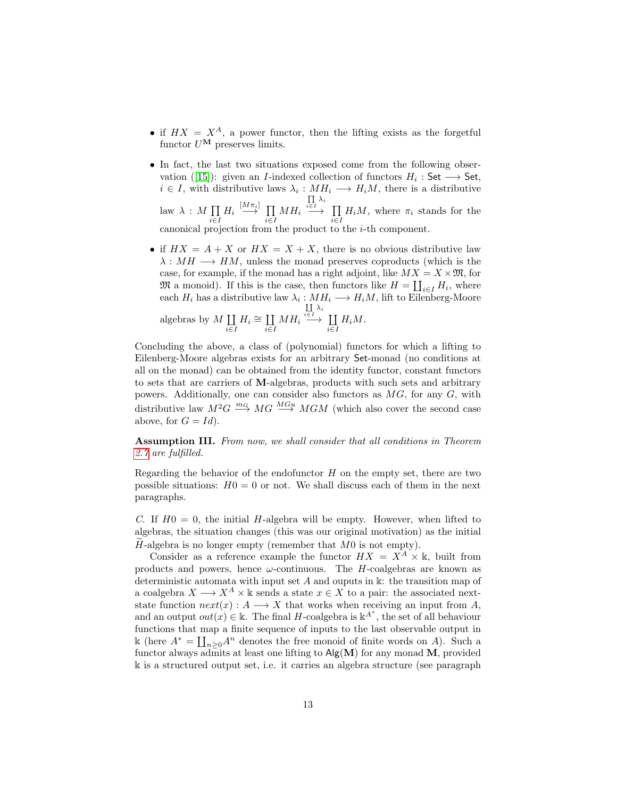- if  $HX = X^A$ , a power functor, then the lifting exists as the forgetful functor  $U^{\mathbf{M}}$  preserves limits.
- In fact, the last two situations exposed come from the following obser-vation ([\[15\]](#page-23-11)): given an *I*-indexed collection of functors  $H_i$ : Set  $\longrightarrow$  Set,  $i \in I$ , with distributive laws  $\lambda_i : MH_i \longrightarrow H_iM$ , there is a distributive  $\text{law } \lambda : M \prod$  $\prod_{i\in I} H_i \stackrel{[M\pi_i]}{\longrightarrow} \prod_{i\in I}$  $\prod\limits_{i\in I}MH_i$  $\prod_{i\in I}\lambda_i$  $\stackrel{\epsilon_I}{\longrightarrow} \Pi$  $\prod_{i\in I} H_i M$ , where  $\pi_i$  stands for the

canonical projection from the product to the i-th component.

• if  $HX = A + X$  or  $HX = X + X$ , there is no obvious distributive law  $\lambda: MH\longrightarrow HM$ , unless the monad preserves coproducts (which is the case, for example, if the monad has a right adjoint, like  $MX = X \times \mathfrak{M}$ , for  $\mathfrak{M}$  a monoid). If this is the case, then functors like  $H = \coprod_{i \in I} H_i$ , where each  $H_i$  has a distributive law  $\lambda_i: MH_i \longrightarrow H_iM$ , lift to Eilenberg-Moore algebras by  $M$  []  $\coprod_{i\in I} H_i \cong \coprod_{i\in I}$  $\coprod_{i\in I} MH_i$  $\coprod_{i\in I} \lambda_i$  $\stackrel{\epsilon_1}{\longrightarrow}$   $\prod$  $\coprod_{i\in I} H_i M.$ 

Concluding the above, a class of (polynomial) functors for which a lifting to Eilenberg-Moore algebras exists for an arbitrary Set-monad (no conditions at all on the monad) can be obtained from the identity functor, constant functors to sets that are carriers of M-algebras, products with such sets and arbitrary powers. Additionally, one can consider also functors as MG, for any G, with distributive law  $M^2G \stackrel{m_G}{\longrightarrow} MG \stackrel{MGu}{\longrightarrow} MGM$  (which also cover the second case above, for  $G = Id$ ).

**Assumption III.** From now, we shall consider that all conditions in Theorem [2.7](#page-8-0) are fulfilled.

Regarding the behavior of the endofunctor  $H$  on the empty set, there are two possible situations:  $H_0 = 0$  or not. We shall discuss each of them in the next paragraphs.

<span id="page-12-0"></span>C. If  $H0 = 0$ , the initial H-algebra will be empty. However, when lifted to algebras, the situation changes (this was our original motivation) as the initial  $\tilde{H}$ -algebra is no longer empty (remember that M0 is not empty).

Consider as a reference example the functor  $HX = X^A \times \mathbb{k}$ , built from products and powers, hence  $\omega$ -continuous. The H-coalgebras are known as deterministic automata with input set  $A$  and ouputs in  $\Bbbk$ : the transition map of a coalgebra  $X \longrightarrow X^A \times \mathbb{k}$  sends a state  $x \in X$  to a pair: the associated nextstate function  $next(x): A \longrightarrow X$  that works when receiving an input from A, and an output  $out(x) \in \mathbb{k}$ . The final H-coalgebra is  $\mathbb{k}^{A^*}$ , the set of all behaviour functions that map a finite sequence of inputs to the last observable output in k (here  $A^* = \coprod_{n\geq 0} A^n$  denotes the free monoid of finite words on A). Such a functor always admits at least one lifting to  $\mathsf{Alg}(\mathbf{M})$  for any monad  $\mathbf{M}$ , provided k is a structured output set, i.e. it carries an algebra structure (see paragraph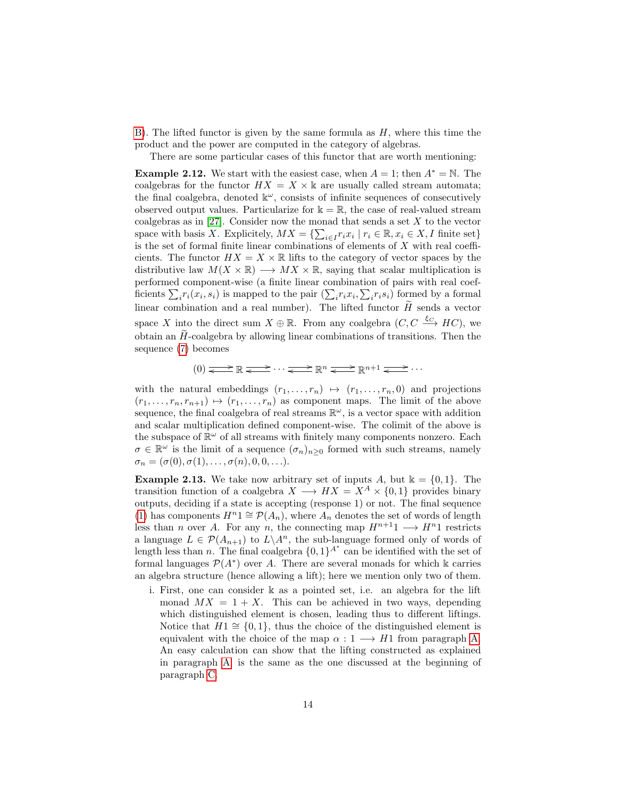[B\)](#page-11-1). The lifted functor is given by the same formula as  $H$ , where this time the product and the power are computed in the category of algebras.

There are some particular cases of this functor that are worth mentioning:

**Example 2.12.** We start with the easiest case, when  $A = 1$ ; then  $A^* = N$ . The coalgebras for the functor  $HX = X \times \mathbb{k}$  are usually called stream automata; the final coalgebra, denoted  $\mathbb{k}^{\omega}$ , consists of infinite sequences of consecutively observed output values. Particularize for  $\mathbb{k} = \mathbb{R}$ , the case of real-valued stream coalgebras as in [\[27\]](#page-24-3). Consider now the monad that sends a set  $X$  to the vector space with basis X. Explicitely,  $MX = \{\sum_{i \in I} r_i x_i \mid r_i \in \mathbb{R}, x_i \in X, I \text{ finite set}\}\$ is the set of formal finite linear combinations of elements of  $X$  with real coefficients. The functor  $HX = X \times \mathbb{R}$  lifts to the category of vector spaces by the distributive law  $M(X \times \mathbb{R}) \longrightarrow MX \times \mathbb{R}$ , saying that scalar multiplication is performed component-wise (a finite linear combination of pairs with real coefficients  $\sum_i r_i(x_i, s_i)$  is mapped to the pair  $(\sum_i r_i x_i, \sum_i r_i s_i)$  formed by a formal linear combination and a real number). The lifted functor  $\widetilde{H}$  sends a vector space X into the direct sum  $X \oplus \mathbb{R}$ . From any coalgebra  $(C, C \xrightarrow{\xi_C} HC)$ , we obtain an  $H$ -coalgebra by allowing linear combinations of transitions. Then the sequence [\(7\)](#page-8-3) becomes

$$
(0) \xrightarrow{\longrightarrow} \mathbb{R} \xrightarrow{\longrightarrow} \cdots \xrightarrow{\longrightarrow} \mathbb{R}^n \xrightarrow{\longrightarrow} \mathbb{R}^{n+1} \xrightarrow{\longrightarrow} \cdots
$$

with the natural embeddings  $(r_1, \ldots, r_n) \mapsto (r_1, \ldots, r_n, 0)$  and projections  $(r_1, \ldots, r_n, r_{n+1}) \mapsto (r_1, \ldots, r_n)$  as component maps. The limit of the above sequence, the final coalgebra of real streams  $\mathbb{R}^{\omega}$ , is a vector space with addition and scalar multiplication defined component-wise. The colimit of the above is the subspace of  $\mathbb{R}^{\omega}$  of all streams with finitely many components nonzero. Each  $\sigma \in \mathbb{R}^{\omega}$  is the limit of a sequence  $(\sigma_n)_{n\geq 0}$  formed with such streams, namely  $\sigma_n = (\sigma(0), \sigma(1), \ldots, \sigma(n), 0, 0, \ldots).$ 

**Example 2.13.** We take now arbitrary set of inputs A, but  $\mathbb{k} = \{0, 1\}$ . The transition function of a coalgebra  $X \longrightarrow HX = X^A \times \{0,1\}$  provides binary outputs, deciding if a state is accepting (response 1) or not. The final sequence [\(1\)](#page-2-0) has components  $H^n1 \cong \mathcal{P}(A_n)$ , where  $A_n$  denotes the set of words of length less than n over A. For any n, the connecting map  $H^{n+1} \longrightarrow H^{n}1$  restricts a language  $L \in \mathcal{P}(A_{n+1})$  to  $L \backslash A^n$ , the sub-language formed only of words of length less than n. The final coalgebra  $\{0,1\}^{A^*}$  can be identified with the set of formal languages  $\mathcal{P}(A^*)$  over A. There are several monads for which k carries an algebra structure (hence allowing a lift); here we mention only two of them.

<span id="page-13-0"></span>i. First, one can consider k as a pointed set, i.e. an algebra for the lift monad  $MX = 1 + X$ . This can be achieved in two ways, depending which distinguished element is chosen, leading thus to different liftings. Notice that  $H1 \cong \{0, 1\}$ , thus the choice of the distinguished element is equivalent with the choice of the map  $\alpha: 1 \longrightarrow H1$  from paragraph [A.](#page-11-2) An easy calculation can show that the lifting constructed as explained in paragraph [A.](#page-11-2) is the same as the one discussed at the beginning of paragraph [C.](#page-12-0)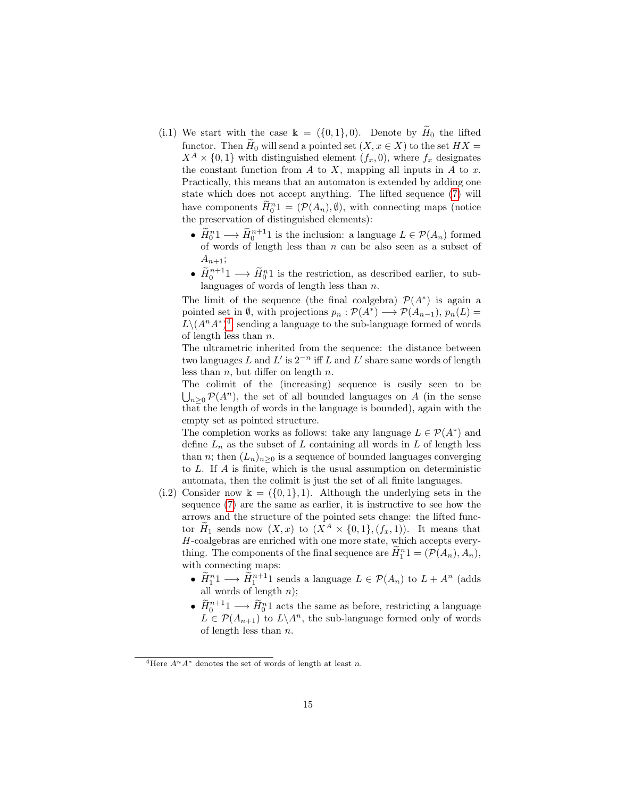- (i.1) We start with the case  $\mathbb{k} = (\{0,1\},0)$ . Denote by  $\widetilde{H}_0$  the lifted functor. Then  $\widetilde{H}_0$  will send a pointed set  $(X, x \in X)$  to the set  $HX =$  $X^A \times \{0,1\}$  with distinguished element  $(f_x, 0)$ , where  $f_x$  designates the constant function from  $A$  to  $X$ , mapping all inputs in  $A$  to  $x$ . Practically, this means that an automaton is extended by adding one state which does not accept anything. The lifted sequence [\(7\)](#page-8-3) will have components  $\tilde{H}_0^n 1 = (\mathcal{P}(A_n), \emptyset)$ , with connecting maps (notice the preservation of distinguished elements):
	- $\widetilde{H}_0^n 1 \longrightarrow \widetilde{H}_0^{n+1} 1$  is the inclusion: a language  $L \in \mathcal{P}(A_n)$  formed of words of length less than  $n$  can be also seen as a subset of  $A_{n+1};$
	- $\widetilde{H}_0^{n+1} \longrightarrow \widetilde{H}_0^n 1$  is the restriction, as described earlier, to sublanguages of words of length less than  $n$ .

The limit of the sequence (the final coalgebra)  $\mathcal{P}(A^*)$  is again a pointed set in  $\emptyset$ , with projections  $p_n : \mathcal{P}(A^*) \longrightarrow \mathcal{P}(A_{n-1}),$   $p_n(L) =$  $L\backslash (A^nA^*)^4$  $L\backslash (A^nA^*)^4$ , sending a language to the sub-language formed of words of length less than n.

The ultrametric inherited from the sequence: the distance between two languages L and L' is  $2^{-n}$  iff L and L' share same words of length less than  $n$ , but differ on length  $n$ .

The colimit of the (increasing) sequence is easily seen to be  $\bigcup_{n\geq 0} \mathcal{P}(A^n)$ , the set of all bounded languages on A (in the sense that the length of words in the language is bounded), again with the empty set as pointed structure.

The completion works as follows: take any language  $L \in \mathcal{P}(A^*)$  and define  $L_n$  as the subset of L containing all words in L of length less than *n*; then  $(L_n)_{n\geq 0}$  is a sequence of bounded languages converging to L. If A is finite, which is the usual assumption on deterministic automata, then the colimit is just the set of all finite languages.

- (i.2) Consider now  $\mathbb{k} = (\{0,1\},1)$ . Although the underlying sets in the sequence [\(7\)](#page-8-3) are the same as earlier, it is instructive to see how the arrows and the structure of the pointed sets change: the lifted functor  $\widetilde{H}_1$  sends now  $(X, x)$  to  $(X^A \times \{0,1\}, (f_x, 1))$ . It means that H-coalgebras are enriched with one more state, which accepts everything. The components of the final sequence are  $\tilde{H}_1^n 1 = (\mathcal{P}(A_n), A_n),$ with connecting maps:
	- $\widetilde{H}_1^n 1 \longrightarrow \widetilde{H}_1^{n+1} 1$  sends a language  $L \in \mathcal{P}(A_n)$  to  $L + A^n$  (adds all words of length  $n$ );
	- $\widetilde{H}_0^{n+1} \longrightarrow \widetilde{H}_0^n 1$  acts the same as before, restricting a language  $L \in \mathcal{P}(A_{n+1})$  to  $L \backslash A^n$ , the sub-language formed only of words of length less than  $n$ .

<span id="page-14-0"></span><sup>&</sup>lt;sup>4</sup>Here  $A^n A^*$  denotes the set of words of length at least *n*.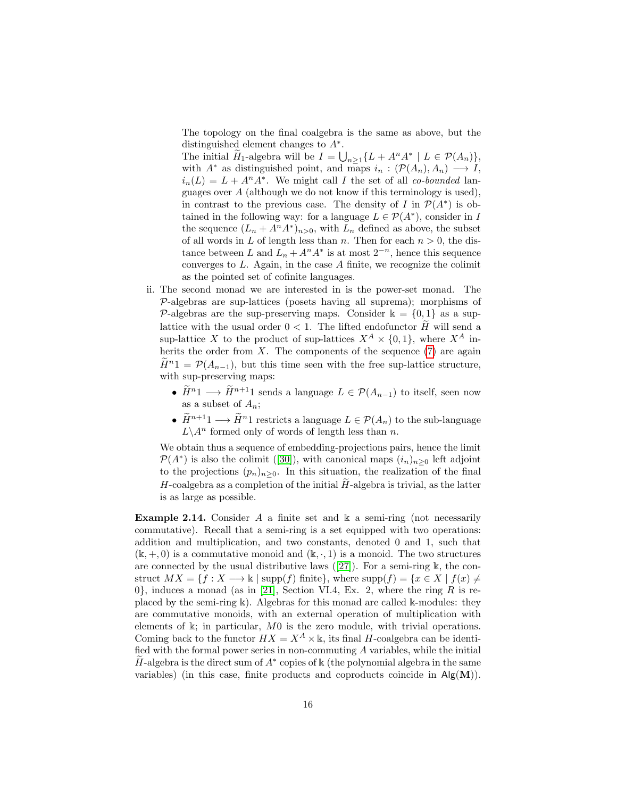The topology on the final coalgebra is the same as above, but the distinguished element changes to A<sup>∗</sup> .

The initial  $\widetilde{H}_1$ -algebra will be  $I = \bigcup_{n \geq 1} \{L + A^n A^* \mid L \in \mathcal{P}(A_n)\},\$ with  $A^*$  as distinguished point, and maps  $i_n : (\mathcal{P}(A_n), A_n) \longrightarrow I$ ,  $i_n(L) = L + A<sup>n</sup> A<sup>*</sup>$ . We might call I the set of all co-bounded languages over A (although we do not know if this terminology is used), in contrast to the previous case. The density of I in  $\mathcal{P}(A^*)$  is obtained in the following way: for a language  $L \in \mathcal{P}(A^*)$ , consider in I the sequence  $(L_n + A^n A^*)_{n>0}$ , with  $L_n$  defined as above, the subset of all words in L of length less than n. Then for each  $n > 0$ , the distance between L and  $L_n + A^n A^*$  is at most  $2^{-n}$ , hence this sequence converges to  $L$ . Again, in the case  $A$  finite, we recognize the colimit as the pointed set of cofinite languages.

- ii. The second monad we are interested in is the power-set monad. The P-algebras are sup-lattices (posets having all suprema); morphisms of P-algebras are the sup-preserving maps. Consider  $\mathbb{k} = \{0, 1\}$  as a suplattice with the usual order  $0 < 1$ . The lifted endofunctor  $\widetilde{H}$  will send a sup-lattice X to the product of sup-lattices  $X^A \times \{0,1\}$ , where  $X^A$  inherits the order from  $X$ . The components of the sequence  $(7)$  are again  $\tilde{H}^{n}1 = \mathcal{P}(A_{n-1}),$  but this time seen with the free sup-lattice structure, with sup-preserving maps:
	- $\widetilde{H}^{n}1 \longrightarrow \widetilde{H}^{n+1}1$  sends a language  $L \in \mathcal{P}(A_{n-1})$  to itself, seen now as a subset of  $A_n$ ;
	- $\widetilde{H}^{n+1} \longrightarrow \widetilde{H}^n$ 1 restricts a language  $L \in \mathcal{P}(A_n)$  to the sub-language  $L \backslash A^n$  formed only of words of length less than n.

We obtain thus a sequence of embedding-projections pairs, hence the limit  $\mathcal{P}(A^*)$  is also the colimit ([\[30\]](#page-24-0)), with canonical maps  $(i_n)_{n\geq 0}$  left adjoint to the projections  $(p_n)_{n>0}$ . In this situation, the realization of the final H-coalgebra as a completion of the initial  $H$ -algebra is trivial, as the latter is as large as possible.

<span id="page-15-0"></span>**Example 2.14.** Consider A a finite set and  $\&$  a semi-ring (not necessarily commutative). Recall that a semi-ring is a set equipped with two operations: addition and multiplication, and two constants, denoted 0 and 1, such that  $(k, +, 0)$  is a commutative monoid and  $(k, \cdot, 1)$  is a monoid. The two structures are connected by the usual distributive laws  $(27)$ . For a semi-ring k, the construct  $MX = \{f : X \longrightarrow \mathbb{k} \mid \text{supp}(f) \text{ finite}\},\$  where  $\text{supp}(f) = \{x \in X \mid f(x) \neq \emptyset\}$  $0\}$ , induces a monad (as in [\[21\]](#page-24-8), Section VI.4, Ex. 2, where the ring R is replaced by the semi-ring  $\Bbbk$ ). Algebras for this monad are called  $\Bbbk$ -modules: they are commutative monoids, with an external operation of multiplication with elements of k; in particular, M0 is the zero module, with trivial operations. Coming back to the functor  $HX = X^A \times \mathbb{k}$ , its final H-coalgebra can be identified with the formal power series in non-commuting A variables, while the initial  $\widetilde{H}$ -algebra is the direct sum of  $A^*$  copies of k (the polynomial algebra in the same variables) (in this case, finite products and coproducts coincide in  $\text{Alg}(\mathbf{M})$ ).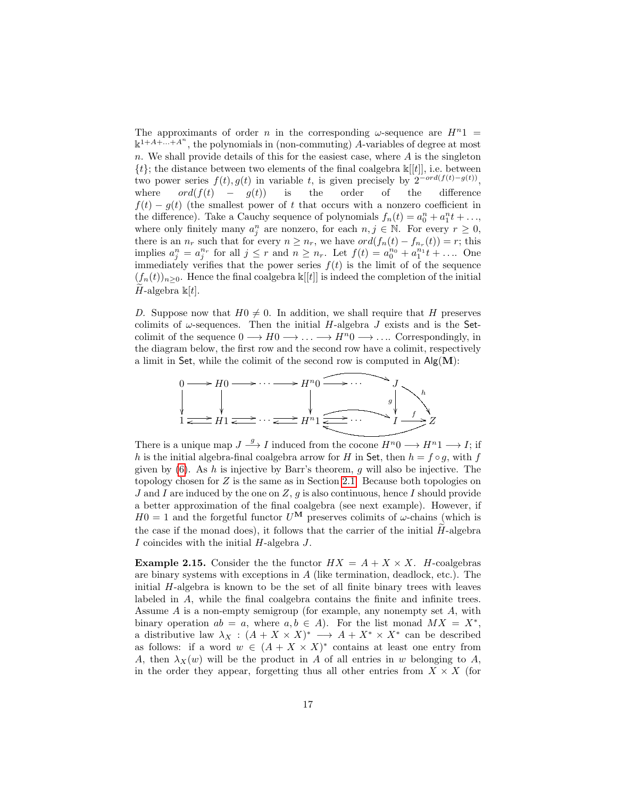The approximants of order n in the corresponding  $\omega$ -sequence are  $H^{n}1 =$  $\mathbb{k}^{1+A+\ldots+A^{n}}$ , the polynomials in (non-commuting) A-variables of degree at most n. We shall provide details of this for the easiest case, where  $A$  is the singleton  ${t}$ ; the distance between two elements of the final coalgebra  $\mathbb{k}[[t]]$ , i.e. between two power series  $f(t)$ ,  $g(t)$  in variable t, is given precisely by  $2^{-ord(f(t)-g(t))}$ , where  $ord(f(t) - g(t))$  is the order of the difference  $f(t) - g(t)$  (the smallest power of t that occurs with a nonzero coefficient in the difference). Take a Cauchy sequence of polynomials  $f_n(t) = a_0^n + a_1^n t + \dots$ where only finitely many  $a_j^n$  are nonzero, for each  $n, j \in \mathbb{N}$ . For every  $r \geq 0$ , there is an  $n_r$  such that for every  $n \geq n_r$ , we have  $ord(f_n(t) - f_{n_r}(t)) = r$ ; this implies  $a_j^n = a_j^{n_r}$  for all  $j \leq r$  and  $n \geq n_r$ . Let  $f(t) = a_0^{n_0} + a_1^{n_1}t + \ldots$  One immediately verifies that the power series  $f(t)$  is the limit of of the sequence  $(f_n(t))_{n\geq 0}$ . Hence the final coalgebra  $\mathbb{k}[[t]]$  is indeed the completion of the initial H-algebra  $\mathbb{k}[t]$ .

D. Suppose now that  $H_0 \neq 0$ . In addition, we shall require that H preserves colimits of  $\omega$ -sequences. Then the initial H-algebra J exists and is the Setcolimit of the sequence  $0 \to H_0 \to \ldots \to H_{n}$   $\to \ldots$  Correspondingly, in the diagram below, the first row and the second row have a colimit, respectively a limit in Set, while the colimit of the second row is computed in  $\text{Alg}(\mathbf{M})$ :



There is a unique map  $J \stackrel{g}{\longrightarrow} I$  induced from the cocone  $H^n0 \longrightarrow H^n1 \longrightarrow I$ ; if h is the initial algebra-final coalgebra arrow for H in Set, then  $h = f \circ q$ , with f given by  $(6)$ . As h is injective by Barr's theorem, g will also be injective. The topology chosen for Z is the same as in Section [2.1.](#page-2-2) Because both topologies on  $J$  and  $I$  are induced by the one on  $Z$ ,  $g$  is also continuous, hence  $I$  should provide a better approximation of the final coalgebra (see next example). However, if  $H0 = 1$  and the forgetful functor  $U^{\mathbf{M}}$  preserves colimits of  $\omega$ -chains (which is the case if the monad does), it follows that the carrier of the initial  $H$ -algebra I coincides with the initial  $H$ -algebra  $J$ .

**Example 2.15.** Consider the the functor  $HX = A + X \times X$ . H-coalgebras are binary systems with exceptions in A (like termination, deadlock, etc.). The initial H-algebra is known to be the set of all finite binary trees with leaves labeled in A, while the final coalgebra contains the finite and infinite trees. Assume A is a non-empty semigroup (for example, any nonempty set  $A$ , with binary operation  $ab = a$ , where  $a, b \in A$ ). For the list monad  $MX = X^*$ , a distributive law  $\lambda_X : (A + X \times X)^* \longrightarrow A + X^* \times X^*$  can be described as follows: if a word  $w \in (A + X \times X)^*$  contains at least one entry from A, then  $\lambda_X(w)$  will be the product in A of all entries in w belonging to A, in the order they appear, forgetting thus all other entries from  $X \times X$  (for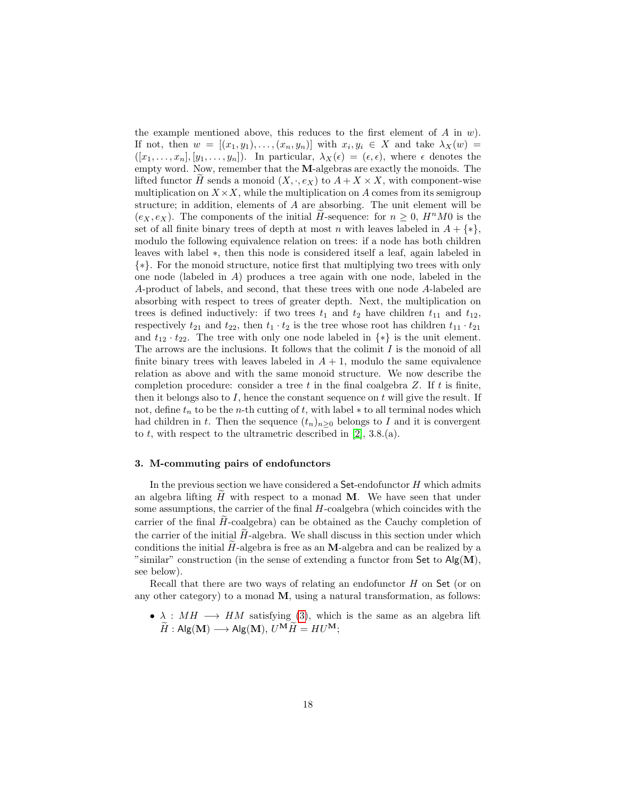the example mentioned above, this reduces to the first element of  $A$  in  $w$ ). If not, then  $w = [(x_1,y_1), \ldots, (x_n,y_n)]$  with  $x_i, y_i \in X$  and take  $\lambda_X(w) =$  $([x_1, \ldots, x_n], [y_1, \ldots, y_n])$ . In particular,  $\lambda_X(\epsilon) = (\epsilon, \epsilon)$ , where  $\epsilon$  denotes the empty word. Now, remember that the M-algebras are exactly the monoids. The lifted functor H sends a monoid  $(X, \cdot, e_X)$  to  $A + X \times X$ , with component-wise multiplication on  $X \times X$ , while the multiplication on A comes from its semigroup structure; in addition, elements of A are absorbing. The unit element will be  $(e_X, e_X)$ . The components of the initial H-sequence: for  $n \geq 0$ ,  $H^n M0$  is the set of all finite binary trees of depth at most n with leaves labeled in  $A + \{*\},$ modulo the following equivalence relation on trees: if a node has both children leaves with label ∗, then this node is considered itself a leaf, again labeled in {∗}. For the monoid structure, notice first that multiplying two trees with only one node (labeled in A) produces a tree again with one node, labeled in the A-product of labels, and second, that these trees with one node A-labeled are absorbing with respect to trees of greater depth. Next, the multiplication on trees is defined inductively: if two trees  $t_1$  and  $t_2$  have children  $t_{11}$  and  $t_{12}$ , respectively  $t_{21}$  and  $t_{22}$ , then  $t_1 \cdot t_2$  is the tree whose root has children  $t_{11} \cdot t_{21}$ and  $t_{12} \cdot t_{22}$ . The tree with only one node labeled in  $\{*\}$  is the unit element. The arrows are the inclusions. It follows that the colimit  $I$  is the monoid of all finite binary trees with leaves labeled in  $A + 1$ , modulo the same equivalence relation as above and with the same monoid structure. We now describe the completion procedure: consider a tree t in the final coalgebra  $Z$ . If t is finite, then it belongs also to  $I$ , hence the constant sequence on  $t$  will give the result. If not, define  $t_n$  to be the *n*-th cutting of t, with label  $*$  to all terminal nodes which had children in t. Then the sequence  $(t_n)_{n>0}$  belongs to I and it is convergent to  $t$ , with respect to the ultrametric described in [\[2\]](#page-22-1), 3.8.(a).

#### <span id="page-17-0"></span>3. M-commuting pairs of endofunctors

In the previous section we have considered a  $Set$ -endofunctor  $H$  which admits an algebra lifting  $H$  with respect to a monad M. We have seen that under some assumptions, the carrier of the final  $H$ -coalgebra (which coincides with the carrier of the final  $H$ -coalgebra) can be obtained as the Cauchy completion of the carrier of the initial  $H$ -algebra. We shall discuss in this section under which conditions the initial  $H$ -algebra is free as an M-algebra and can be realized by a "similar" construction (in the sense of extending a functor from Set to  $\mathsf{Alg}(\mathbf{M})$ , see below).

Recall that there are two ways of relating an endofunctor H on Set (or on any other category) to a monad  $M$ , using a natural transformation, as follows:

•  $\lambda : MH \longrightarrow HM$  satisfying [\(3\)](#page-3-1), which is the same as an algebra lift  $\widetilde{H}:\mathsf{Alg}(\mathbf{M})\longrightarrow \mathsf{Alg}(\mathbf{M}), U^{\mathbf{M}}\widetilde{H}=H U^{\mathbf{M}};$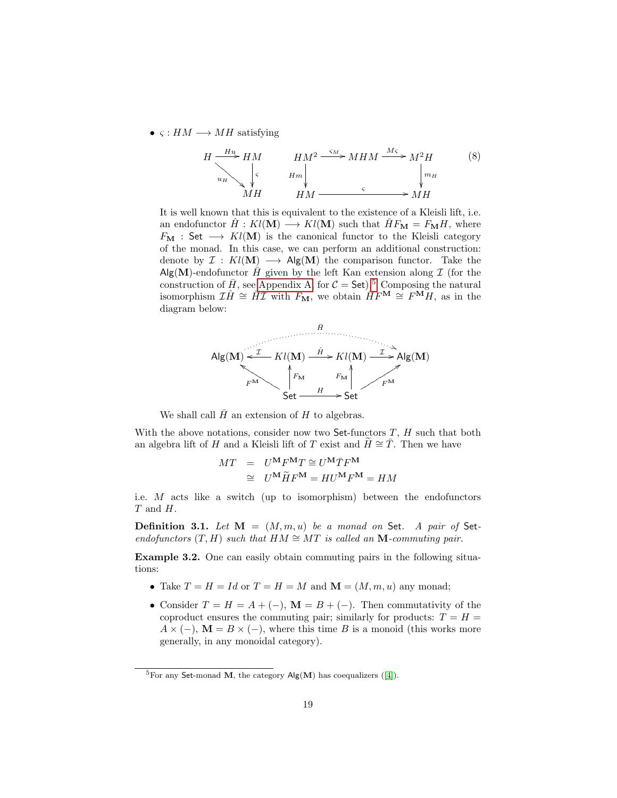•  $\varsigma: HM \longrightarrow MH$  satisfying

<span id="page-18-1"></span>
$$
H \xrightarrow{Hu} HM \qquad HM^2 \xrightarrow{SM} MHM \xrightarrow{M\varsigma} M^2H \qquad (8)
$$
  
\n
$$
\downarrow_{u_H} \searrow \qquad Hm \qquad \qquad Hm \qquad \qquad \downarrow_{m_H} \qquad \qquad \downarrow_{m_H}
$$
  
\n
$$
MH \qquad HM \qquad \qquad \searrow \qquad MH
$$

It is well known that this is equivalent to the existence of a Kleisli lift, i.e. an endofunctor  $\hat{H} : Kl(\mathbf{M}) \longrightarrow Kl(\mathbf{M})$  such that  $\hat{H}F_{\mathbf{M}} = F_{\mathbf{M}}H$ , where  $F_{\mathbf{M}}:$  Set  $\longrightarrow$  Kl(M) is the canonical functor to the Kleisli category of the monad. In this case, we can perform an additional construction: denote by  $\mathcal{I}: Kl(\mathbf{M}) \longrightarrow \mathsf{Alg}(\mathbf{M})$  the comparison functor. Take the  $\mathsf{Alg}(\mathbf{M})$ -endofunctor  $\bar{H}$  given by the left Kan extension along  $\mathcal I$  (for the construction of  $\bar{H}$ , see [Appendix A,](#page-0-0) for  $C =$  Set).<sup>[5](#page-18-0)</sup> Composing the natural isomorphism  $\mathcal{I}\hat{H} \cong \overline{H}\mathcal{I}$  with  $F_{\mathbf{M}}$ , we obtain  $\overline{H}F^{\mathbf{M}} \cong F^{\mathbf{M}}H$ , as in the diagram below:



We shall call  $\bar{H}$  an extension of H to algebras.

With the above notations, consider now two Set-functors  $T$ ,  $H$  such that both an algebra lift of H and a Kleisli lift of T exist and  $H \cong \overline{T}$ . Then we have

$$
MT = U^{\mathbf{M}} F^{\mathbf{M}} T \cong U^{\mathbf{M}} \overline{T} F^{\mathbf{M}}
$$
  
\n
$$
\cong U^{\mathbf{M}} \widetilde{H} F^{\mathbf{M}} = H U^{\mathbf{M}} F^{\mathbf{M}} = H M
$$

i.e. M acts like a switch (up to isomorphism) between the endofunctors T and H.

**Definition 3.1.** Let  $M = (M, m, u)$  be a monad on Set. A pair of Setendofunctors  $(T, H)$  such that  $HM \cong MT$  is called an M-commuting pair.

Example 3.2. One can easily obtain commuting pairs in the following situations:

- Take  $T = H = Id$  or  $T = H = M$  and  $\mathbf{M} = (M, m, u)$  any monad;
- Consider  $T = H = A + (-), M = B + (-).$  Then commutativity of the coproduct ensures the commuting pair; similarly for products:  $T = H =$  $A \times (-)$ ,  $\mathbf{M} = B \times (-)$ , where this time B is a monoid (this works more generally, in any monoidal category).

<span id="page-18-0"></span> ${}^{5}$ For any Set-monad M, the category Alg(M) has coequalizers ([\[4\]](#page-23-12)).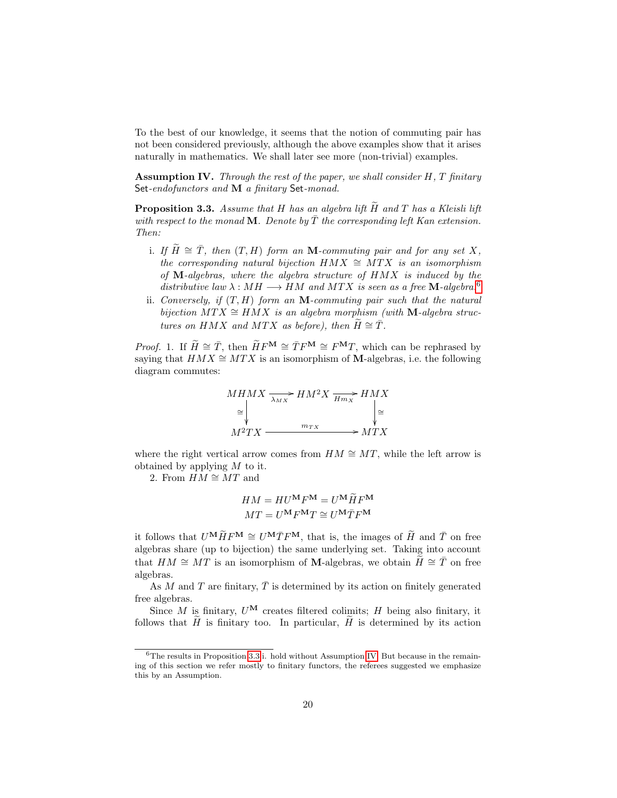To the best of our knowledge, it seems that the notion of commuting pair has not been considered previously, although the above examples show that it arises naturally in mathematics. We shall later see more (non-trivial) examples.

<span id="page-19-2"></span>**Assumption IV.** Through the rest of the paper, we shall consider  $H, T$  finitary Set-endofunctors and M a finitary Set-monad.

<span id="page-19-1"></span>**Proposition 3.3.** Assume that H has an algebra lift H and T has a Kleisli lift with respect to the monad **M**. Denote by  $\overline{T}$  the corresponding left Kan extension. Then:

- i. If  $\widetilde{H} \cong \overline{T}$ , then  $(T, H)$  form an M-commuting pair and for any set X, the corresponding natural bijection HMX  $\cong$  MTX is an isomorphism of M-algebras, where the algebra structure of HMX is induced by the distributive law  $\lambda : MH \longrightarrow HM$  and MTX is seen as a free M-algebra.<sup>[6](#page-19-0)</sup>
- ii. Conversely, if  $(T, H)$  form an M-commuting pair such that the natural bijection MTX  $\cong HMX$  is an algebra morphism (with M-algebra structures on HMX and MTX as before), then  $\widetilde{H} \cong \overline{T}$ .

*Proof.* 1. If  $\widetilde{H} \cong \overline{T}$ , then  $\widetilde{H}F^{\mathbf{M}} \cong \overline{T}F^{\mathbf{M}} \cong F^{\mathbf{M}}T$ , which can be rephrased by saying that  $HMX \cong MTX$  is an isomorphism of M-algebras, i.e. the following diagram commutes:



where the right vertical arrow comes from  $HM \cong MT$ , while the left arrow is obtained by applying  $M$  to it.

2. From  $HM \cong MT$  and

$$
HM = HU^{\mathbf{M}}F^{\mathbf{M}} = U^{\mathbf{M}}\widetilde{H}F^{\mathbf{M}}
$$

$$
MT = U^{\mathbf{M}}F^{\mathbf{M}}T \cong U^{\mathbf{M}}\overline{T}F^{\mathbf{M}}
$$

it follows that  $U^{\mathbf{M}}\widetilde{H}F^{\mathbf{M}} \cong U^{\mathbf{M}}\overline{T}F^{\mathbf{M}}$ , that is, the images of  $\widetilde{H}$  and  $\overline{T}$  on free algebras share (up to bijection) the same underlying set. Taking into account that  $HM \cong MT$  is an isomorphism of M-algebras, we obtain  $\widetilde{H} \cong \overline{T}$  on free algebras.

As M and T are finitary,  $\overline{T}$  is determined by its action on finitely generated free algebras.

Since M is finitary,  $U^{\mathbf{M}}$  creates filtered colimits; H being also finitary, it follows that  $H$  is finitary too. In particular,  $H$  is determined by its action

<span id="page-19-0"></span> $6$ The results in Proposition [3.3.](#page-19-1)i. hold without Assumption [IV.](#page-19-2) But because in the remaining of this section we refer mostly to finitary functors, the referees suggested we emphasize this by an Assumption.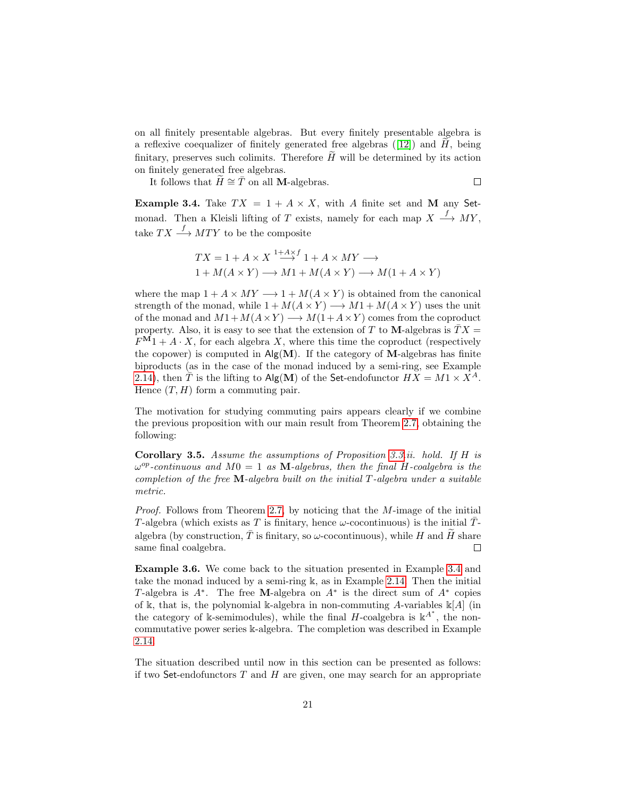on all finitely presentable algebras. But every finitely presentable algebra is a reflexive coequalizer of finitely generated free algebras  $(12)$  and H, being finitary, preserves such colimits. Therefore  $\tilde{H}$  will be determined by its action on finitely generated free algebras.

It follows that  $H \cong \overline{T}$  on all M-algebras.

 $\Box$ 

<span id="page-20-0"></span>**Example 3.4.** Take  $TX = 1 + A \times X$ , with A finite set and M any Setmonad. Then a Kleisli lifting of T exists, namely for each map  $X \stackrel{f}{\longrightarrow} MY$ , take  $TX \stackrel{f}{\longrightarrow} MTY$  to be the composite

$$
TX = 1 + A \times X \xrightarrow{1 + A \times f} 1 + A \times MY \longrightarrow
$$
  

$$
1 + M(A \times Y) \longrightarrow M1 + M(A \times Y) \longrightarrow M(1 + A \times Y)
$$

where the map  $1 + A \times MY \longrightarrow 1 + M(A \times Y)$  is obtained from the canonical strength of the monad, while  $1 + M(A \times Y) \longrightarrow M1 + M(A \times Y)$  uses the unit of the monad and  $M1+M(A\times Y) \longrightarrow M(1+A\times Y)$  comes from the coproduct property. Also, it is easy to see that the extension of T to M-algebras is  $TX =$  $F^{\mathbf{M}}1 + A \cdot X$ , for each algebra X, where this time the coproduct (respectively the copower) is computed in  $\mathsf{Alg}(\mathbf{M})$ . If the category of M-algebras has finite biproducts (as in the case of the monad induced by a semi-ring, see Example [2.14\)](#page-15-0), then T is the lifting to Alg(M) of the Set-endofunctor  $HX = M1 \times X^A$ . Hence  $(T, H)$  form a commuting pair.

The motivation for studying commuting pairs appears clearly if we combine the previous proposition with our main result from Theorem [2.7,](#page-8-0) obtaining the following:

<span id="page-20-1"></span>Corollary 3.5. Assume the assumptions of Proposition [3.3.](#page-19-1)ii. hold. If H is  $\omega^{op}$ -continuous and  $M0 = 1$  as **M**-algebras, then the final H-coalgebra is the completion of the free  $\mathbf{M}$ -algebra built on the initial T-algebra under a suitable metric.

Proof. Follows from Theorem [2.7,](#page-8-0) by noticing that the M-image of the initial T-algebra (which exists as T is finitary, hence  $\omega$ -cocontinuous) is the initial Talgebra (by construction,  $\overline{T}$  is finitary, so  $\omega$ -cocontinuous), while H and  $\tilde{H}$  share same final coalgebra. same final coalgebra.

Example 3.6. We come back to the situation presented in Example [3.4](#page-20-0) and take the monad induced by a semi-ring k, as in Example [2.14.](#page-15-0) Then the initial T-algebra is  $A^*$ . The free M-algebra on  $A^*$  is the direct sum of  $A^*$  copies of k, that is, the polynomial k-algebra in non-commuting A-variables  $\kappa[A]$  (in the category of k-semimodules), while the final H-coalgebra is  $k^{A^*}$ , the noncommutative power series k-algebra. The completion was described in Example [2.14.](#page-15-0)

The situation described until now in this section can be presented as follows: if two Set-endofunctors  $T$  and  $H$  are given, one may search for an appropriate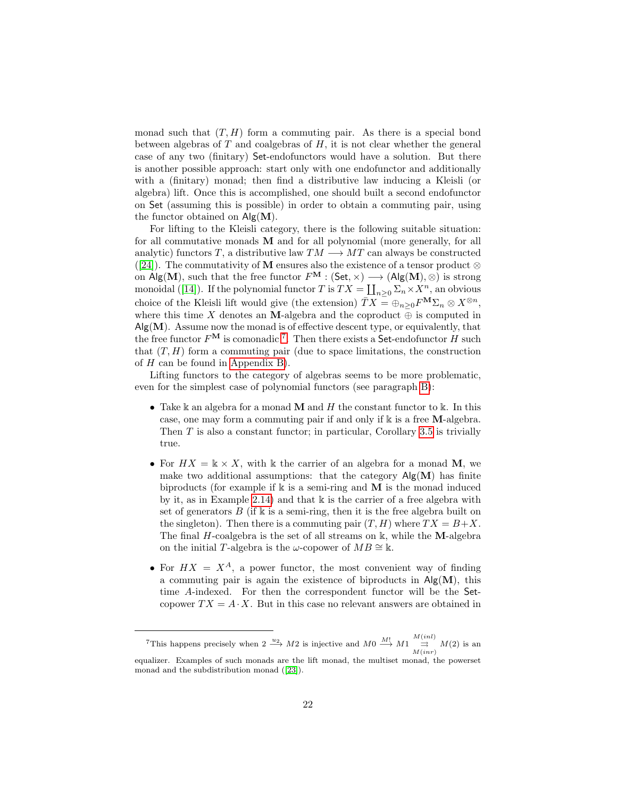monad such that  $(T, H)$  form a commuting pair. As there is a special bond between algebras of  $T$  and coalgebras of  $H$ , it is not clear whether the general case of any two (finitary) Set-endofunctors would have a solution. But there is another possible approach: start only with one endofunctor and additionally with a (finitary) monad; then find a distributive law inducing a Kleisli (or algebra) lift. Once this is accomplished, one should built a second endofunctor on Set (assuming this is possible) in order to obtain a commuting pair, using the functor obtained on  $\text{Alg}(\mathbf{M})$ .

For lifting to the Kleisli category, there is the following suitable situation: for all commutative monads M and for all polynomial (more generally, for all analytic) functors T, a distributive law  $TM \longrightarrow MT$  can always be constructed ([\[24\]](#page-24-10)). The commutativity of M ensures also the existence of a tensor product  $\otimes$ on  $\overrightarrow{Alg}(\mathbf{M})$ , such that the free functor  $F^{\mathbf{M}} : (\mathsf{Set}, \times) \longrightarrow (\mathsf{Alg}(\mathbf{M}), \otimes)$  is strong monoidal ([\[14\]](#page-23-13)). If the polynomial functor T is  $TX = \coprod_{n\geq 0} \Sigma_n \times X^n$ , an obvious choice of the Kleisli lift would give (the extension)  $\overline{T}X = \bigoplus_{n>0} F^{\mathbf{M}}\Sigma_n \otimes X^{\otimes n}$ , where this time X denotes an M-algebra and the coproduct  $\oplus$  is computed in  $\mathsf{Alg}(\mathbf{M})$ . Assume now the monad is of effective descent type, or equivalently, that the free functor  $F^{\mathbf{M}}$  is comonadic<sup>[7](#page-21-0)</sup>. Then there exists a Set-endofunctor H such that  $(T, H)$  form a commuting pair (due to space limitations, the construction of  $H$  can be found in [Appendix B\)](#page-27-0).

Lifting functors to the category of algebras seems to be more problematic, even for the simplest case of polynomial functors (see paragraph [B\)](#page-11-1):

- Take k an algebra for a monad M and H the constant functor to k. In this case, one may form a commuting pair if and only if k is a free M-algebra. Then  $T$  is also a constant functor; in particular, Corollary [3.5](#page-20-1) is trivially true.
- For  $HX = \mathbb{k} \times X$ , with k the carrier of an algebra for a monad M, we make two additional assumptions: that the category  $\mathsf{Alg}(\mathbf{M})$  has finite biproducts (for example if  $\Bbbk$  is a semi-ring and  $\bf{M}$  is the monad induced by it, as in Example [2.14\)](#page-15-0) and that k is the carrier of a free algebra with set of generators  $B$  (if  $\Bbbk$  is a semi-ring, then it is the free algebra built on the singleton). Then there is a commuting pair  $(T, H)$  where  $TX = B+X$ . The final  $H$ -coalgebra is the set of all streams on k, while the M-algebra on the initial T-algebra is the  $\omega$ -copower of  $MB \cong \mathbb{k}$ .
- For  $HX = X^A$ , a power functor, the most convenient way of finding a commuting pair is again the existence of biproducts in  $\mathsf{Alg}(\mathbf{M})$ , this time A-indexed. For then the correspondent functor will be the Setcopower  $TX = A \cdot X$ . But in this case no relevant answers are obtained in

<span id="page-21-0"></span><sup>&</sup>lt;sup>7</sup>This happens precisely when  $2 \stackrel{u_2}{\longrightarrow} M2$  is injective and  $M0 \stackrel{M!}{\longrightarrow} M1 \stackrel{M(inl)}{\longrightarrow}$  $\Rightarrow$   $M(2)$  is an  $M(inr)$ equalizer. Examples of such monads are the lift monad, the multiset monad, the powerset

monad and the subdistribution monad ([\[23\]](#page-24-11)).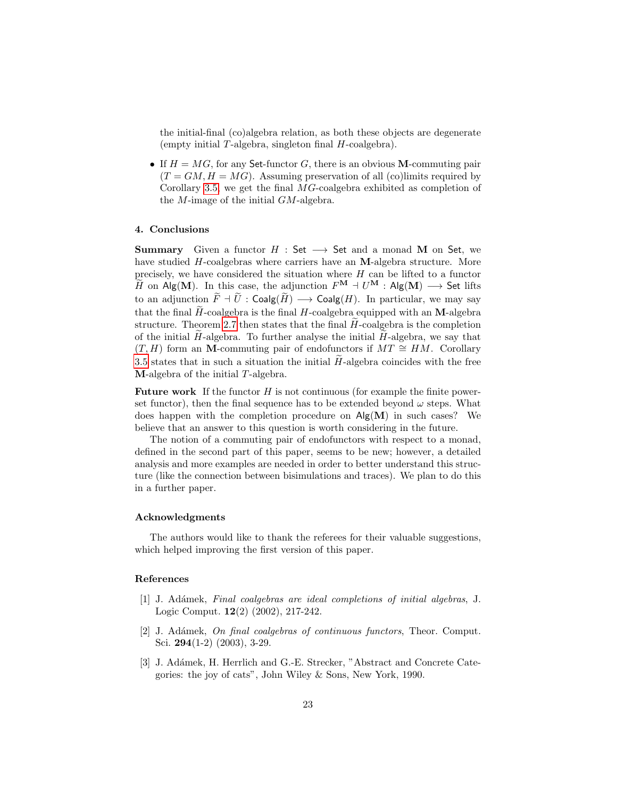the initial-final (co)algebra relation, as both these objects are degenerate (empty initial T-algebra, singleton final H-coalgebra).

• If  $H = MG$ , for any Set-functor G, there is an obvious M-commuting pair  $(T = GM, H = MG)$ . Assuming preservation of all (co)limits required by Corollary [3.5,](#page-20-1) we get the final MG-coalgebra exhibited as completion of the M-image of the initial GM-algebra.

### 4. Conclusions

**Summary** Given a functor  $H : Set \longrightarrow Set$  and a monad M on Set, we have studied H-coalgebras where carriers have an M-algebra structure. More precisely, we have considered the situation where H can be lifted to a functor  $\widetilde{H}$  on Alg(M). In this case, the adjunction  $F^{\mathbf{M}} \dashv U^{\mathbf{M}}$  : Alg(M)  $\longrightarrow$  Set lifts to an adjunction  $\widetilde{F} \dashv \widetilde{U}$  :  $\mathsf{Coalg}(\widetilde{H}) \longrightarrow \mathsf{Coalg}(H)$ . In particular, we may say that the final  $\widetilde{H}$ -coalgebra is the final H-coalgebra equipped with an M-algebra structure. Theorem [2.7](#page-8-0) then states that the final  $H$ -coalgebra is the completion of the initial  $H$ -algebra. To further analyse the initial  $H$ -algebra, we say that  $(T, H)$  form an M-commuting pair of endofunctors if  $MT \cong HM$ . Corollary [3.5](#page-20-1) states that in such a situation the initial  $H$ -algebra coincides with the free M-algebra of the initial T-algebra.

**Future work** If the functor  $H$  is not continuous (for example the finite powerset functor), then the final sequence has to be extended beyond  $\omega$  steps. What does happen with the completion procedure on  $\mathsf{Alg}(\mathbf{M})$  in such cases? We believe that an answer to this question is worth considering in the future.

The notion of a commuting pair of endofunctors with respect to a monad, defined in the second part of this paper, seems to be new; however, a detailed analysis and more examples are needed in order to better understand this structure (like the connection between bisimulations and traces). We plan to do this in a further paper.

#### Acknowledgments

The authors would like to thank the referees for their valuable suggestions, which helped improving the first version of this paper.

#### References

- <span id="page-22-0"></span>[1] J. Adámek, Final coalgebras are ideal completions of initial algebras, J. Logic Comput. 12(2) (2002), 217-242.
- <span id="page-22-1"></span>[2] J. Adámek, On final coalgebras of continuous functors, Theor. Comput. Sci. 294(1-2) (2003), 3-29.
- <span id="page-22-2"></span>[3] J. Adámek, H. Herrlich and G.-E. Strecker, "Abstract and Concrete Categories: the joy of cats", John Wiley & Sons, New York, 1990.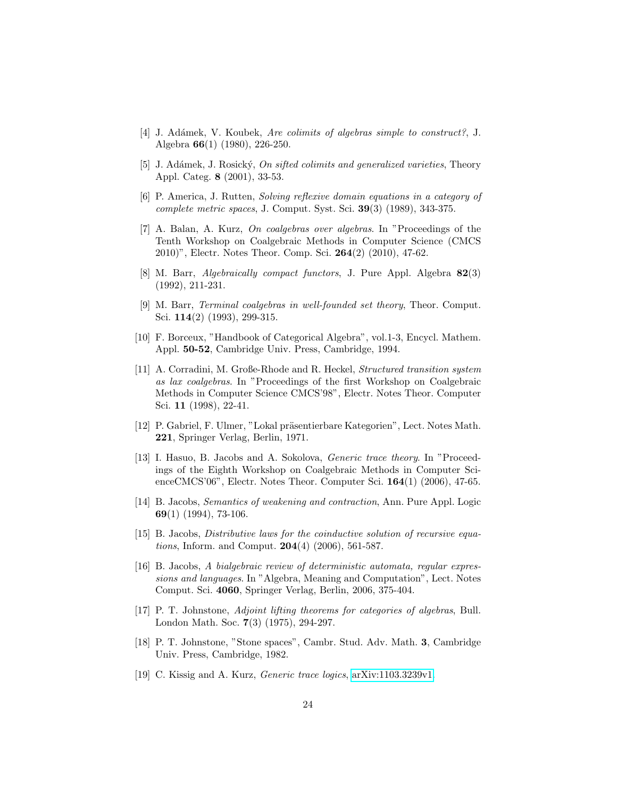- <span id="page-23-12"></span>[4] J. Adámek, V. Koubek, Are colimits of algebras simple to construct?, J. Algebra 66(1) (1980), 226-250.
- [5] J. Adámek, J. Rosický, On sifted colimits and generalized varieties, Theory Appl. Categ. 8 (2001), 33-53.
- <span id="page-23-1"></span>[6] P. America, J. Rutten, Solving reflexive domain equations in a category of complete metric spaces, J. Comput. Syst. Sci. 39(3) (1989), 343-375.
- <span id="page-23-6"></span>[7] A. Balan, A. Kurz, On coalgebras over algebras. In "Proceedings of the Tenth Workshop on Coalgebraic Methods in Computer Science (CMCS 2010)", Electr. Notes Theor. Comp. Sci. 264(2) (2010), 47-62.
- <span id="page-23-0"></span>[8] M. Barr, Algebraically compact functors, J. Pure Appl. Algebra 82(3) (1992), 211-231.
- <span id="page-23-2"></span>[9] M. Barr, Terminal coalgebras in well-founded set theory, Theor. Comput. Sci. 114(2) (1993), 299-315.
- <span id="page-23-9"></span>[10] F. Borceux, "Handbook of Categorical Algebra", vol.1-3, Encycl. Mathem. Appl. 50-52, Cambridge Univ. Press, Cambridge, 1994.
- <span id="page-23-3"></span>[11] A. Corradini, M. Große-Rhode and R. Heckel, Structured transition system as lax coalgebras. In "Proceedings of the first Workshop on Coalgebraic Methods in Computer Science CMCS'98", Electr. Notes Theor. Computer Sci. 11 (1998), 22-41.
- <span id="page-23-10"></span>[12] P. Gabriel, F. Ulmer, "Lokal präsentierbare Kategorien", Lect. Notes Math. 221, Springer Verlag, Berlin, 1971.
- <span id="page-23-5"></span>[13] I. Hasuo, B. Jacobs and A. Sokolova, Generic trace theory. In "Proceedings of the Eighth Workshop on Coalgebraic Methods in Computer ScienceCMCS'06", Electr. Notes Theor. Computer Sci. 164(1) (2006), 47-65.
- <span id="page-23-13"></span>[14] B. Jacobs, Semantics of weakening and contraction, Ann. Pure Appl. Logic 69(1) (1994), 73-106.
- <span id="page-23-11"></span>[15] B. Jacobs, Distributive laws for the coinductive solution of recursive equa*tions*, Inform. and Comput.  $204(4)$  (2006), 561-587.
- [16] B. Jacobs, A bialgebraic review of deterministic automata, regular expressions and languages. In "Algebra, Meaning and Computation", Lect. Notes Comput. Sci. 4060, Springer Verlag, Berlin, 2006, 375-404.
- <span id="page-23-7"></span>[17] P. T. Johnstone, Adjoint lifting theorems for categories of algebras, Bull. London Math. Soc. 7(3) (1975), 294-297.
- <span id="page-23-8"></span>[18] P. T. Johnstone, "Stone spaces", Cambr. Stud. Adv. Math. 3, Cambridge Univ. Press, Cambridge, 1982.
- <span id="page-23-4"></span>[19] C. Kissig and A. Kurz, Generic trace logics, [arXiv:1103.3239v1.](http://arxiv.org/abs/1103.3239v1)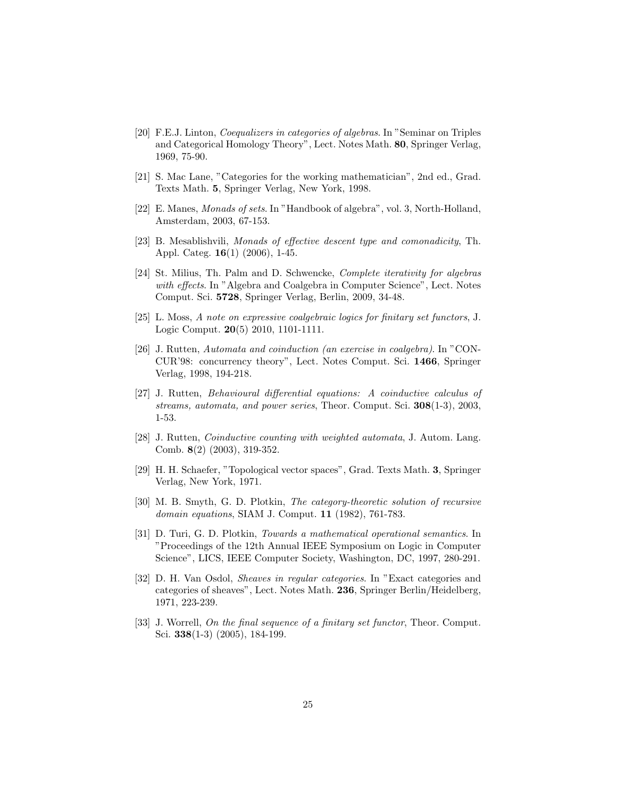- <span id="page-24-12"></span>[20] F.E.J. Linton, Coequalizers in categories of algebras. In "Seminar on Triples and Categorical Homology Theory", Lect. Notes Math. 80, Springer Verlag, 1969, 75-90.
- <span id="page-24-8"></span>[21] S. Mac Lane, "Categories for the working mathematician", 2nd ed., Grad. Texts Math. 5, Springer Verlag, New York, 1998.
- <span id="page-24-9"></span>[22] E. Manes, Monads of sets. In "Handbook of algebra", vol. 3, North-Holland, Amsterdam, 2003, 67-153.
- <span id="page-24-11"></span>[23] B. Mesablishvili, Monads of effective descent type and comonadicity, Th. Appl. Categ. 16(1) (2006), 1-45.
- <span id="page-24-10"></span>[24] St. Milius, Th. Palm and D. Schwencke, Complete iterativity for algebras with effects. In "Algebra and Coalgebra in Computer Science", Lect. Notes Comput. Sci. 5728, Springer Verlag, Berlin, 2009, 34-48.
- [25] L. Moss, A note on expressive coalgebraic logics for finitary set functors, J. Logic Comput. 20(5) 2010, 1101-1111.
- <span id="page-24-2"></span>[26] J. Rutten, Automata and coinduction (an exercise in coalgebra). In "CON-CUR'98: concurrency theory", Lect. Notes Comput. Sci. 1466, Springer Verlag, 1998, 194-218.
- <span id="page-24-3"></span>[27] J. Rutten, Behavioural differential equations: A coinductive calculus of streams, automata, and power series, Theor. Comput. Sci. 308(1-3), 2003, 1-53.
- <span id="page-24-4"></span>[28] J. Rutten, *Coinductive counting with weighted automata*, J. Autom. Lang. Comb. 8(2) (2003), 319-352.
- <span id="page-24-5"></span>[29] H. H. Schaefer, "Topological vector spaces", Grad. Texts Math. 3, Springer Verlag, New York, 1971.
- <span id="page-24-0"></span>[30] M. B. Smyth, G. D. Plotkin, The category-theoretic solution of recursive domain equations, SIAM J. Comput. 11 (1982), 761-783.
- <span id="page-24-1"></span>[31] D. Turi, G. D. Plotkin, Towards a mathematical operational semantics. In "Proceedings of the 12th Annual IEEE Symposium on Logic in Computer Science", LICS, IEEE Computer Society, Washington, DC, 1997, 280-291.
- <span id="page-24-6"></span>[32] D. H. Van Osdol, Sheaves in regular categories. In "Exact categories and categories of sheaves", Lect. Notes Math. 236, Springer Berlin/Heidelberg, 1971, 223-239.
- <span id="page-24-7"></span>[33] J. Worrell, On the final sequence of a finitary set functor, Theor. Comput. Sci. 338(1-3) (2005), 184-199.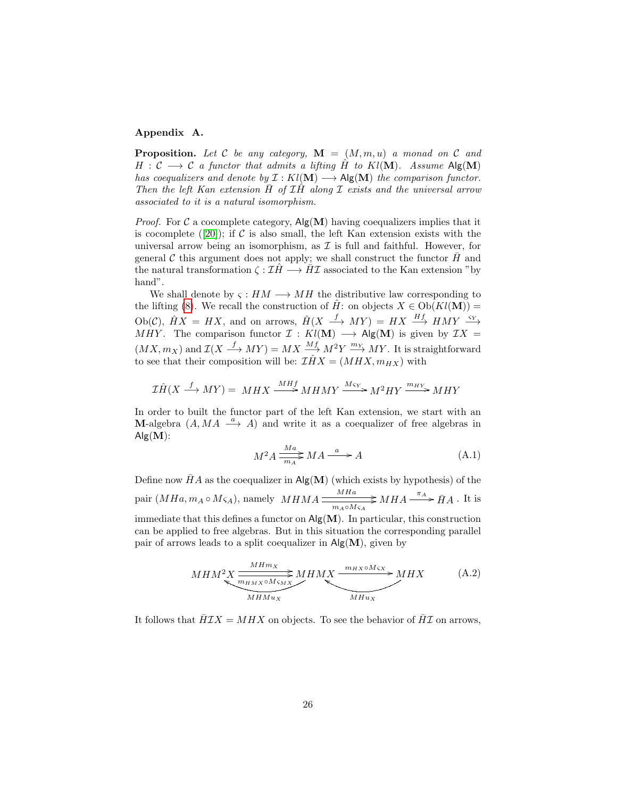# Appendix A.

**Proposition.** Let C be any category,  $\mathbf{M} = (M, m, u)$  a monad on C and  $H: \mathcal{C} \longrightarrow \mathcal{C}$  a functor that admits a lifting  $\hat{H}$  to  $Kl(\mathbf{M})$ . Assume Alg(M) has coequalizers and denote by  $\mathcal{I}: Kl(\mathbf{M}) \longrightarrow \mathsf{Alg}(\mathbf{M})$  the comparison functor. Then the left Kan extension  $\overline{H}$  of  $\overline{L}\overline{H}$  along  $\overline{L}$  exists and the universal arrow associated to it is a natural isomorphism.

*Proof.* For  $\mathcal C$  a cocomplete category,  $\mathsf{Alg}(\mathbf{M})$  having coequalizers implies that it is cocomplete ([\[20\]](#page-24-12)); if C is also small, the left Kan extension exists with the universal arrow being an isomorphism, as  $\mathcal I$  is full and faithful. However, for general C this argument does not apply; we shall construct the functor  $H$  and the natural transformation  $\zeta : \mathcal{I}H \longrightarrow H\mathcal{I}$  associated to the Kan extension "by hand".

We shall denote by  $\varsigma : HM \longrightarrow MH$  the distributive law corresponding to the lifting [\(8\)](#page-18-1). We recall the construction of  $\hat{H}$ : on objects  $X \in Ob(Kl(\mathbf{M}))$  =  $Ob(\mathcal{C}), \quad \hat{H}X = HX$ , and on arrows,  $\hat{H}(X \stackrel{f}{\longrightarrow} MY) = HX \stackrel{Hf}{\longrightarrow} HMY \stackrel{SY}{\longrightarrow}$ MHY. The comparison functor  $\mathcal{I}: Kl(\mathbf{M}) \longrightarrow \mathsf{Alg}(\mathbf{M})$  is given by  $\mathcal{I}X =$  $(MX, m_X)$  and  $\mathcal{I}(X \stackrel{f}{\longrightarrow} MY) = MX \stackrel{Mf}{\longrightarrow} M^2Y \stackrel{m_Y}{\longrightarrow} MY$ . It is straightforward to see that their composition will be:  $\mathcal{I}\hat{H}X = (MHX, m_{HX})$  with

$$
\mathcal{I}\hat{H}(X \xrightarrow{f} MY) = MHX \xrightarrow{MHf} MHMY \xrightarrow{M_{SY}} M^2HY \xrightarrow{m_{HY}} MHY
$$

In order to built the functor part of the left Kan extension, we start with an M-algebra  $(A, MA \xrightarrow{a} A)$  and write it as a coequalizer of free algebras in  $\mathsf{Alg}(\mathbf{M})$ :

<span id="page-25-1"></span>
$$
M^2 A \xrightarrow[m_A]{Ma} MA \xrightarrow{a} A \qquad (A.1)
$$

Define now  $\bar{H}A$  as the coequalizer in Alg(M) (which exists by hypothesis) of the pair  $(MHa, m_A \circ M_{SA})$ , namely  $MHMA \longrightarrow MHa \longrightarrow$  $\frac{MHa}{m_A \circ M_{SA}} \geq MHA \xrightarrow{\pi_A} \bar{H}A$ . It is immediate that this defines a functor on  $\text{Alg}(\mathbf{M})$ . In particular, this construction can be applied to free algebras. But in this situation the corresponding parallel pair of arrows leads to a split coequalizer in  $\mathsf{Alg}(\mathbf{M})$ , given by

<span id="page-25-0"></span>
$$
MHM^{2}X \xrightarrow[MHMX \circ MS_MX] \xrightarrow[MHMX \circ MS_MX] \xrightarrow[MHMX \circ MH_XX] \xrightarrow[MHuX] \xrightarrow[MHuX] \xrightarrow[MHuX] \xrightarrow[MHuX] \xrightarrow[MHuX] \xrightarrow[MHuX] \xrightarrow[MHuX] \xrightarrow[MHuX] \xrightarrow[MHuX] \xrightarrow[MHuX] \xrightarrow[MHuX] \xrightarrow[MHuX] \xrightarrow[MHuX] \xrightarrow[MHuX] \xrightarrow[MHuX] \xrightarrow[MHuX] \xrightarrow[MHuX] \xrightarrow[MHuX] \xrightarrow[MHuX] \xrightarrow[MHuX] \xrightarrow[MHuX] \xrightarrow[MHuX] \xrightarrow[MHuX] \xrightarrow[MHuX] \xrightarrow[MHuX] \xrightarrow[MHuX] \xrightarrow[MHuX] \xrightarrow[MHuX] \xrightarrow[MHuX] \xrightarrow[MHuX] \xrightarrow[MHuX] \xrightarrow[MHuX] \xrightarrow[MHuX] \xrightarrow[MHuX] \xrightarrow[MHuX] \xrightarrow[MHuX] \xrightarrow[MHuX] \xrightarrow[MHuX] \xrightarrow[MHuX] \xrightarrow[MHuX] \xrightarrow[MHuX] \xrightarrow[MHuX] \xrightarrow[MHuX] \xrightarrow[MHuX] \xrightarrow[MHuX] \xrightarrow[MHuX] \xrightarrow[MHuX] \xrightarrow[MHuX] \xrightarrow[MHuX] \xrightarrow[MHuX] \xrightarrow[MHuX] \xrightarrow[MHuX] \xrightarrow[MHuX] \xrightarrow[MHuX] \xrightarrow[MHuX] \xrightarrow[MHuX] \xrightarrow[MHuX] \xrightarrow[MHuX] \xrightarrow[MHuX] \xrightarrow[MHuX] \xrightarrow[MHuX] \xrightarrow[MHuX] \xrightarrow[MHuX] \xrightarrow[MHuX] \xrightarrow[MHuX] \xrightarrow[MHuX] \xrightarrow[MHuX] \xrightarrow[MHuX] \xrightarrow[MHuX] \xrightarrow[MHuX] \xrightarrow[MHuX] \xrightarrow[MHuX] \xrightarrow[MHuX] \xrightarrow[MHuX] \xrightarrow[MHuX] \xrightarrow[MHuX] \xrightarrow[MHuX] \xrightarrow[MHuX] \xrightarrow[MHuX] \xrightarrow[MHuX] \xrightarrow[MHuX] \xrightarrow[MTuX] \xrightarrow[MTuX] \xrightarrow[MTuX] \xrightarrow[MTuX] \xrightarrow[MTuX] \xrightarrow[MTuX] \xrightarrow[MTuX] \xrightarrow[MTuX] \xrightarrow[MTuX] \xrightarrow[MTuX] \xrightarrow[MTuX] \xrightarrow[MTuX] \xrightarrow[MTuX] \xrightarrow[MTuX] \xrightarrow[MTuX] \xrightarrow[MTuX] \xrightarrow[MTuX] \xrightarrow[MTuX] \xrightarrow[MTuX] \xrightarrow[MTuX] \xrightarrow[MTuX]
$$

It follows that  $\overline{HIX} = MHX$  on objects. To see the behavior of  $\overline{HI}$  on arrows,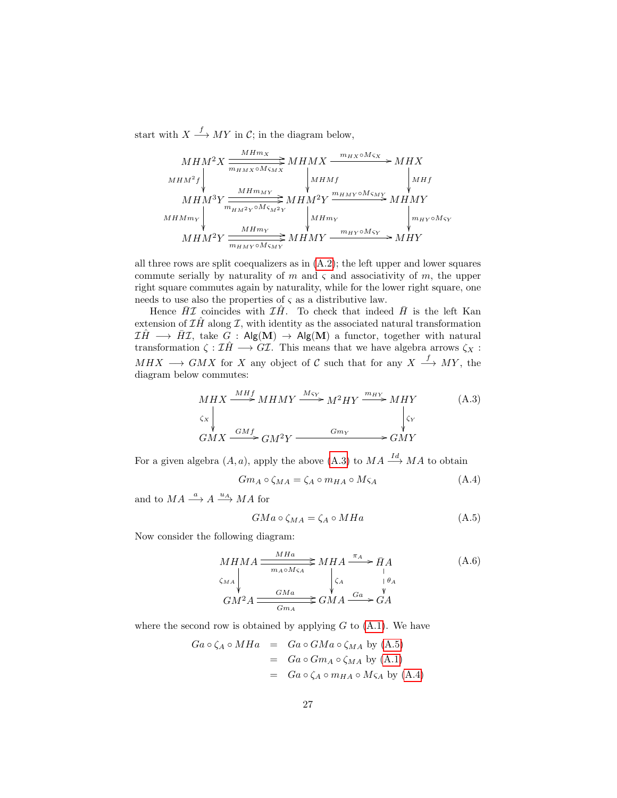start with  $X \stackrel{f}{\longrightarrow} MY$  in C; in the diagram below,

$$
\begin{array}{c}\nMHM^2X \xrightarrow{\hspace{20pt} \substack{MHm_X \\\text{MHMZ}}} \hspace{-20pt} \text{MHMX} \xrightarrow{\hspace{20pt} \substack{m_{HX} \circ M_{SX}}}\hspace{-20pt} \text{MHMX} \xrightarrow{\hspace{20pt} \substack{m_{HX} \circ M_{SX}}}\hspace{-20pt} \text{MHX} \xrightarrow{\hspace{20pt} \substack{MHM} \\\text{MHM} \\\text{MHM} \\\text{MHM}^3Y \xrightarrow{\hspace{20pt} \substack{MHm_{MY} \\\text{MHMZY}}}\hspace{-20pt} \text{MHM}^2Y \xrightarrow{\hspace{20pt} \substack{MHm_{YY} \circ M_{SMY} \\\text{MHMY}}}\hspace{-20pt} \text{MHM}^2Y \xrightarrow{\hspace{20pt} \substack{MHm_{YY} \circ M_{SMY} \\\text{MHMZY}}}\hspace{-20pt} \text{MHM}^2Y \xrightarrow{\hspace{20pt} \substack{MHm_Y \\\text{MHMZ}}} \hspace{-20pt} \text{MHM}^2Y \xrightarrow{\hspace{20pt} \substack{MHm_{YY} \circ M_{SMY}}}\hspace{-20pt} \text{MHM}^2Y \xrightarrow{\hspace{20pt} \substack{m_{HY} \circ M_{SMY}}}\hspace{-20pt} \text{MHM}^2Y \xrightarrow{\hspace{20pt} \substack{TMHm_{YY} \circ M_{SMY}}}\hspace{-20pt} \text{MHM}^2Y \xrightarrow{\hspace{20pt} \substack{TMHm_{YY} \circ M_{SMY}}}\hspace{-20pt} \text{MHM}^2Y \xrightarrow{\hspace{20pt} \substack{TMHm_{YY} \circ M_{SMY}}}\hspace{-20pt} \text{MHM}^2Y \xrightarrow{\hspace{20pt} \substack{TMHm_{YY} \circ M_{SMY}}}\hspace{-20pt} \text{MHM}^2Y \xrightarrow{\hspace{20pt} \substack{TMHm_{YY} \circ M_{SMY}}}\hspace{-20pt} \text{MHM}^2Y \xrightarrow{\hspace{20pt} \substack{TMHm_{YY} \circ M_{SMY}}}\hspace{-20pt} \text{MHM}^2Y \xrightarrow{\hspace{20pt} \substack{TMHm_{YY} \circ M_{SMY}}}\hspace{-20pt}
$$

all three rows are split coequalizers as in [\(A.2\)](#page-25-0); the left upper and lower squares commute serially by naturality of  $m$  and  $\varsigma$  and associativity of  $m$ , the upper right square commutes again by naturality, while for the lower right square, one needs to use also the properties of  $\varsigma$  as a distributive law.

Hence  $\bar{H}\mathcal{I}$  coincides with  $\mathcal{I}\hat{H}$ . To check that indeed  $\bar{H}$  is the left Kan extension of  $\mathcal{I}H$  along  $\mathcal{I}$ , with identity as the associated natural transformation  $\mathcal{I}\hat{H} \longrightarrow \bar{H}\mathcal{I}$ , take  $G : \mathsf{Alg}(\mathbf{M}) \rightarrow \mathsf{Alg}(\mathbf{M})$  a functor, together with natural transformation  $\zeta : \mathcal{I}\hat{H} \longrightarrow \mathcal{GI}$ . This means that we have algebra arrows  $\zeta_X$ :  $MHX \longrightarrow GMX$  for X any object of C such that for any  $X \stackrel{f}{\longrightarrow} MY$ , the diagram below commutes:

<span id="page-26-0"></span>
$$
MHX \xrightarrow{MHf} MHMY \xrightarrow{Mc_Y} M^2HY \xrightarrow{m_{HY}} MHY
$$
\n
$$
\begin{array}{ccc}\n\zeta_x \\
\downarrow & \\
GMX \xrightarrow{GMf} GM^2Y \xrightarrow{Gm_Y} GMY\n\end{array}
$$
\n(A.3)

For a given algebra  $(A, a)$ , apply the above  $(A.3)$  to  $MA \stackrel{Id}{\longrightarrow} MA$  to obtain

<span id="page-26-2"></span>
$$
Gm_A \circ \zeta_{MA} = \zeta_A \circ m_{HA} \circ M \zeta_A \tag{A.4}
$$

and to  $MA \stackrel{a}{\longrightarrow} A \stackrel{u_A}{\longrightarrow} MA$  for

<span id="page-26-1"></span>
$$
GMa \circ \zeta_{MA} = \zeta_A \circ MHa \tag{A.5}
$$

Now consider the following diagram:

<span id="page-26-3"></span>
$$
MHMA \xrightarrow{MHa} \text{MA} \xrightarrow{H_A \circ M_{SA}} \text{MHA} \xrightarrow{\pi_A} \bar{H}A
$$
\n
$$
\begin{array}{c}\n\zeta_{MA} \\
\downarrow \\
\zeta_{MA} \\
\downarrow \\
\zeta_{MA} \\
\downarrow \\
\zeta_{AM} \\
\zeta_{MA} \\
\downarrow \\
\zeta_{A} \\
\zeta_{A} \\
\zeta_{A} \\
\zeta_{A} \\
\zeta_{A} \\
\zeta_{A} \\
\zeta_{A} \\
\zeta_{A} \\
\zeta_{A} \\
\zeta_{A} \\
\zeta_{A} \\
\zeta_{A} \\
\zeta_{A} \\
\zeta_{A} \\
\zeta_{A} \\
\zeta_{A} \\
\zeta_{A} \\
\zeta_{A} \\
\zeta_{A} \\
\zeta_{A} \\
\zeta_{A} \\
\zeta_{A} \\
\zeta_{A} \\
\zeta_{A} \\
\zeta_{A} \\
\zeta_{A} \\
\zeta_{A} \\
\zeta_{A} \\
\zeta_{A} \\
\zeta_{A} \\
\zeta_{A} \\
\zeta_{A} \\
\zeta_{A} \\
\zeta_{A} \\
\zeta_{A} \\
\zeta_{A} \\
\zeta_{A} \\
\zeta_{A} \\
\zeta_{A} \\
\zeta_{A} \\
\zeta_{A} \\
\zeta_{A} \\
\zeta_{A} \\
\zeta_{A} \\
\zeta_{A} \\
\zeta_{A} \\
\zeta_{A} \\
\zeta_{A} \\
\zeta_{A} \\
\zeta_{A} \\
\zeta_{A} \\
\zeta_{A} \\
\zeta_{A} \\
\zeta_{A} \\
\zeta_{A} \\
\zeta_{A} \\
\zeta_{A} \\
\zeta_{A} \\
\zeta_{A} \\
\zeta_{A} \\
\zeta_{A} \\
\zeta_{A} \\
\zeta_{A} \\
\zeta_{A} \\
\zeta_{A} \\
\zeta_{A} \\
\zeta_{A} \\
\zeta_{A} \\
\zeta_{A} \\
\zeta_{A} \\
\zeta_{A} \\
\zeta_{A} \\
\zeta_{A} \\
\zeta_{A} \\
\zeta_{A} \\
\zeta_{A} \\
\zeta_{A} \\
\zeta_{A} \\
\zeta_{A} \\
\zeta_{A} \\
\zeta_{A} \\
\zeta_{A} \\
\zeta_{A} \\
\zeta_{A} \\
\zeta_{A} \\
\zeta_{A} \\
\zeta_{A} \\
\zeta_{A} \\
\zeta_{A} \\
\zeta_{A} \\
\zeta_{A} \\
\zeta_{A} \\
\z
$$

where the second row is obtained by applying  $G$  to  $(A.1)$ . We have

$$
Ga \circ \zeta_A \circ MHa = Ga \circ GMa \circ \zeta_{MA} \text{ by } (A.5)
$$
  
= 
$$
Ga \circ Gm_A \circ \zeta_{MA} \text{ by } (A.1)
$$
  
= 
$$
Ga \circ \zeta_A \circ m_{HA} \circ M_{SA} \text{ by } (A.4)
$$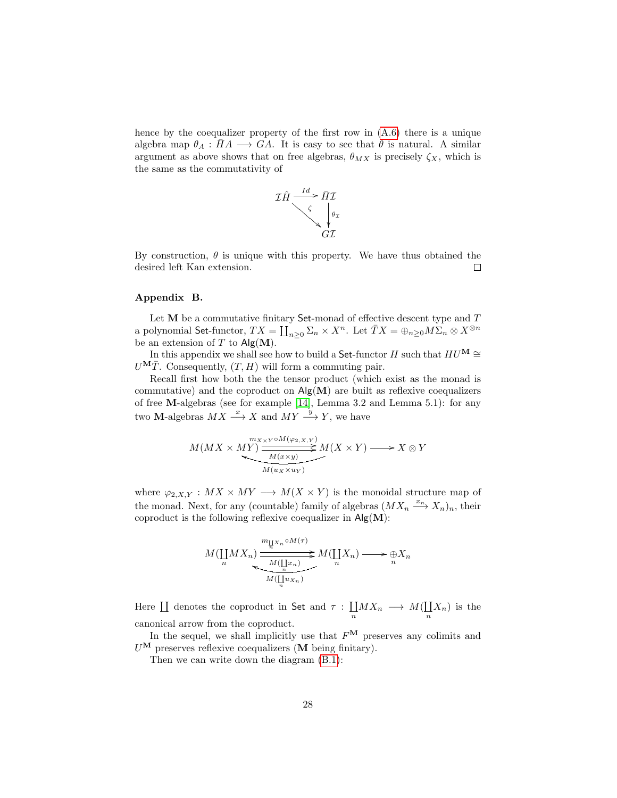hence by the coequalizer property of the first row in [\(A.6\)](#page-26-3) there is a unique algebra map  $\theta_A : \bar{H}A \longrightarrow GA$ . It is easy to see that  $\theta$  is natural. A similar argument as above shows that on free algebras,  $\theta_{MX}$  is precisely  $\zeta_X$ , which is the same as the commutativity of



By construction,  $\theta$  is unique with this property. We have thus obtained the desired left Kan extension.  $\Box$ 

## <span id="page-27-0"></span>Appendix B.

Let  $M$  be a commutative finitary Set-monad of effective descent type and  $T$ a polynomial Set-functor,  $TX = \coprod_{n\geq 0} \Sigma_n \times X^n$ . Let  $\bar{T}X = \bigoplus_{n\geq 0} M\overline{\Sigma_n} \otimes X^{\otimes n}$ be an extension of T to  $\text{Alg}(\textbf{M})$ .

In this appendix we shall see how to build a Set-functor H such that  $H U^{\mathbf{M}} \cong$  $U^{\mathbf{M}}\overline{T}$ . Consequently,  $(T, H)$  will form a commuting pair.

Recall first how both the the tensor product (which exist as the monad is commutative) and the coproduct on  $\text{Alg}(\mathbf{M})$  are built as reflexive coequalizers of free M-algebras (see for example [\[14\]](#page-23-13), Lemma 3.2 and Lemma 5.1): for any two **M**-algebras  $MX \xrightarrow{x} X$  and  $MY \xrightarrow{y} Y$ , we have

$$
M(MX \times \underbrace{MY) \xrightarrow{m_{X \times Y} \circ M(\varphi_{2,X,Y})} M(X \times Y) \longrightarrow X \otimes Y} \xrightarrow{M(ux \times u_Y)}
$$

where  $\varphi_{2,X,Y} : MX \times MY \longrightarrow M(X \times Y)$  is the monoidal structure map of the monad. Next, for any (countable) family of algebras  $(MX_n \xrightarrow{x_n} X_n)_n$ , their coproduct is the following reflexive coequalizer in  $\mathsf{Alg}(\mathbf{M})$ :

$$
M(\underset{n}{\coprod} MX_n)\xrightarrow{\underset{n}{\underbrace{m\underset{n}{\coprod}x_n\circ M(\tau)}}}M(\underset{n}{\coprod}X_n)\longrightarrow \underset{n}{\underbrace{\oplus}X_n}
$$

Here  $\prod$  denotes the coproduct in Set and  $\tau : \prod$  $\coprod_n M X_n \longrightarrow M(\coprod_n$  $\prod_{n} X_n$ ) is the canonical arrow from the coproduct.

In the sequel, we shall implicitly use that  $F^{\mathbf{M}}$  preserves any colimits and  $U^{\mathbf{M}}$  preserves reflexive coequalizers (M being finitary).

Then we can write down the diagram [\(B.1\)](#page-28-0):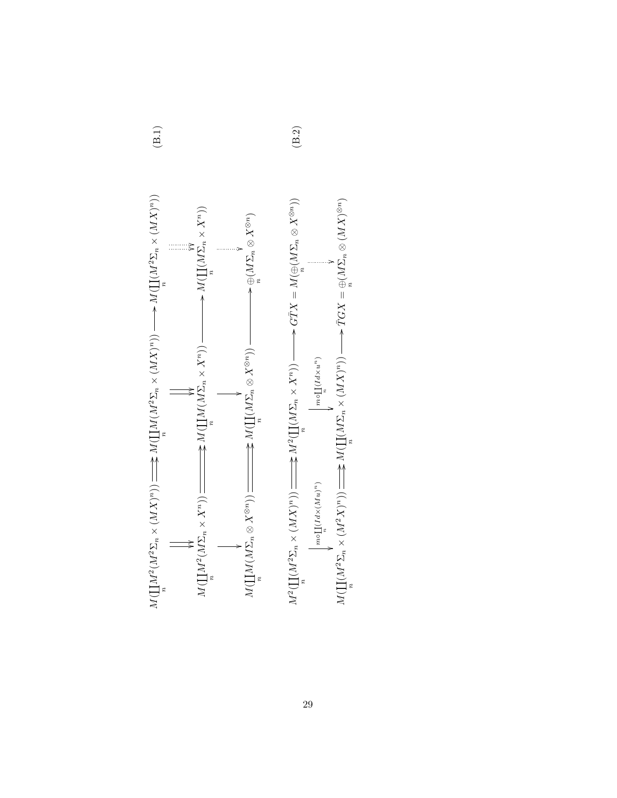<span id="page-28-1"></span><span id="page-28-0"></span>

29

$$
\overline{a}
$$